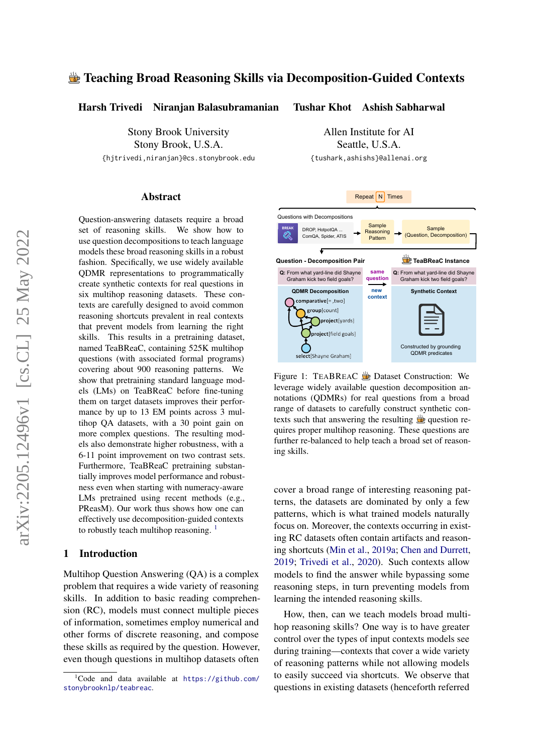# Teaching Broad Reasoning Skills via Decomposition-Guided Contexts

Harsh Trivedi Niranjan Balasubramanian

Stony Brook University Stony Brook, U.S.A. {hjtrivedi,niranjan}@cs.stonybrook.edu

#### Abstract

Question-answering datasets require a broad set of reasoning skills. We show how to use question decompositions to teach language models these broad reasoning skills in a robust fashion. Specifically, we use widely available QDMR representations to programmatically create synthetic contexts for real questions in six multihop reasoning datasets. These contexts are carefully designed to avoid common reasoning shortcuts prevalent in real contexts that prevent models from learning the right skills. This results in a pretraining dataset, named TeaBReaC, containing 525K multihop questions (with associated formal programs) covering about 900 reasoning patterns. We show that pretraining standard language models (LMs) on TeaBReaC before fine-tuning them on target datasets improves their performance by up to 13 EM points across 3 multihop QA datasets, with a 30 point gain on more complex questions. The resulting models also demonstrate higher robustness, with a 6-11 point improvement on two contrast sets. Furthermore, TeaBReaC pretraining substantially improves model performance and robustness even when starting with numeracy-aware LMs pretrained using recent methods (e.g., PReasM). Our work thus shows how one can effectively use decomposition-guided contexts to robustly teach multihop reasoning.  $\frac{1}{1}$  $\frac{1}{1}$  $\frac{1}{1}$ 

### 1 Introduction

Multihop Question Answering (QA) is a complex problem that requires a wide variety of reasoning skills. In addition to basic reading comprehension (RC), models must connect multiple pieces of information, sometimes employ numerical and other forms of discrete reasoning, and compose these skills as required by the question. However, even though questions in multihop datasets often

Allen Institute for AI Seattle, U.S.A. {tushark,ashishs}@allenai.org

Tushar Khot Ashish Sabharwal

<span id="page-0-1"></span>

Figure 1: TEABREAC **D**ataset Construction: We leverage widely available question decomposition annotations (QDMRs) for real questions from a broad range of datasets to carefully construct synthetic contexts such that answering the resulting  $\frac{d\mathbf{r}}{dt}$  question requires proper multihop reasoning. These questions are further re-balanced to help teach a broad set of reasoning skills.

cover a broad range of interesting reasoning patterns, the datasets are dominated by only a few patterns, which is what trained models naturally focus on. Moreover, the contexts occurring in existing RC datasets often contain artifacts and reasoning shortcuts [\(Min et al.,](#page-11-0) [2019a;](#page-11-0) [Chen and Durrett,](#page-10-0) [2019;](#page-10-0) [Trivedi et al.,](#page-11-1) [2020\)](#page-11-1). Such contexts allow models to find the answer while bypassing some reasoning steps, in turn preventing models from learning the intended reasoning skills.

How, then, can we teach models broad multihop reasoning skills? One way is to have greater control over the types of input contexts models see during training—contexts that cover a wide variety of reasoning patterns while not allowing models to easily succeed via shortcuts. We observe that questions in existing datasets (henceforth referred

<span id="page-0-0"></span> ${}^{1}$ Code and data available at [https://github.com/](https://github.com/stonybrooknlp/teabreac) [stonybrooknlp/teabreac](https://github.com/stonybrooknlp/teabreac).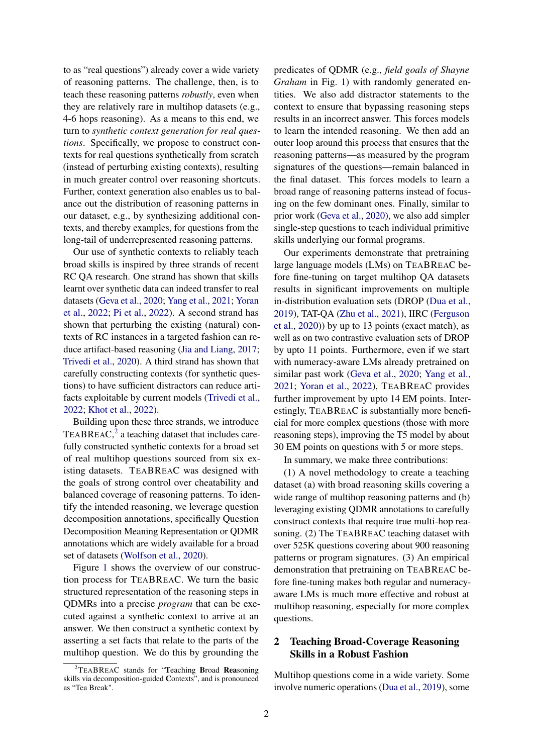to as "real questions") already cover a wide variety of reasoning patterns. The challenge, then, is to teach these reasoning patterns *robustly*, even when they are relatively rare in multihop datasets (e.g., 4-6 hops reasoning). As a means to this end, we turn to *synthetic context generation for real questions*. Specifically, we propose to construct contexts for real questions synthetically from scratch (instead of perturbing existing contexts), resulting in much greater control over reasoning shortcuts. Further, context generation also enables us to balance out the distribution of reasoning patterns in our dataset, e.g., by synthesizing additional contexts, and thereby examples, for questions from the long-tail of underrepresented reasoning patterns.

Our use of synthetic contexts to reliably teach broad skills is inspired by three strands of recent RC QA research. One strand has shown that skills learnt over synthetic data can indeed transfer to real datasets [\(Geva et al.,](#page-10-1) [2020;](#page-10-1) [Yang et al.,](#page-12-0) [2021;](#page-12-0) [Yoran](#page-12-1) [et al.,](#page-12-1) [2022;](#page-12-1) [Pi et al.,](#page-11-2) [2022\)](#page-11-2). A second strand has shown that perturbing the existing (natural) contexts of RC instances in a targeted fashion can reduce artifact-based reasoning [\(Jia and Liang,](#page-10-2) [2017;](#page-10-2) [Trivedi et al.,](#page-11-1) [2020\)](#page-11-1). A third strand has shown that carefully constructing contexts (for synthetic questions) to have sufficient distractors can reduce artifacts exploitable by current models [\(Trivedi et al.,](#page-11-3) [2022;](#page-11-3) [Khot et al.,](#page-11-4) [2022\)](#page-11-4).

Building upon these three strands, we introduce TEABREAC, $^2$  $^2$  a teaching dataset that includes carefully constructed synthetic contexts for a broad set of real multihop questions sourced from six existing datasets. TEABREAC was designed with the goals of strong control over cheatability and balanced coverage of reasoning patterns. To identify the intended reasoning, we leverage question decomposition annotations, specifically Question Decomposition Meaning Representation or QDMR annotations which are widely available for a broad set of datasets [\(Wolfson et al.,](#page-11-5) [2020\)](#page-11-5).

Figure [1](#page-0-1) shows the overview of our construction process for TEABREAC. We turn the basic structured representation of the reasoning steps in QDMRs into a precise *program* that can be executed against a synthetic context to arrive at an answer. We then construct a synthetic context by asserting a set facts that relate to the parts of the multihop question. We do this by grounding the

predicates of QDMR (e.g., *field goals of Shayne Graham* in Fig. [1\)](#page-0-1) with randomly generated entities. We also add distractor statements to the context to ensure that bypassing reasoning steps results in an incorrect answer. This forces models to learn the intended reasoning. We then add an outer loop around this process that ensures that the reasoning patterns—as measured by the program signatures of the questions—remain balanced in the final dataset. This forces models to learn a broad range of reasoning patterns instead of focusing on the few dominant ones. Finally, similar to prior work [\(Geva et al.,](#page-10-1) [2020\)](#page-10-1), we also add simpler single-step questions to teach individual primitive skills underlying our formal programs.

Our experiments demonstrate that pretraining large language models (LMs) on TEABREAC before fine-tuning on target multihop QA datasets results in significant improvements on multiple in-distribution evaluation sets (DROP [\(Dua et al.,](#page-10-3) [2019\)](#page-10-3), TAT-QA [\(Zhu et al.,](#page-12-2) [2021\)](#page-12-2), IIRC [\(Ferguson](#page-10-4) [et al.,](#page-10-4) [2020\)](#page-10-4)) by up to 13 points (exact match), as well as on two contrastive evaluation sets of DROP by upto 11 points. Furthermore, even if we start with numeracy-aware LMs already pretrained on similar past work [\(Geva et al.,](#page-10-1) [2020;](#page-10-1) [Yang et al.,](#page-12-0) [2021;](#page-12-0) [Yoran et al.,](#page-12-1) [2022\)](#page-12-1), TEABREAC provides further improvement by upto 14 EM points. Interestingly, TEABREAC is substantially more beneficial for more complex questions (those with more reasoning steps), improving the T5 model by about 30 EM points on questions with 5 or more steps.

In summary, we make three contributions:

(1) A novel methodology to create a teaching dataset (a) with broad reasoning skills covering a wide range of multihop reasoning patterns and (b) leveraging existing QDMR annotations to carefully construct contexts that require true multi-hop reasoning. (2) The TEABREAC teaching dataset with over 525K questions covering about 900 reasoning patterns or program signatures. (3) An empirical demonstration that pretraining on TEABREAC before fine-tuning makes both regular and numeracyaware LMs is much more effective and robust at multihop reasoning, especially for more complex questions.

# 2 Teaching Broad-Coverage Reasoning Skills in a Robust Fashion

Multihop questions come in a wide variety. Some involve numeric operations [\(Dua et al.,](#page-10-3) [2019\)](#page-10-3), some

<span id="page-1-0"></span><sup>&</sup>lt;sup>2</sup>TEABREAC stands for "Teaching Broad Reasoning skills via decomposition-guided Contexts", and is pronounced as "Tea Break".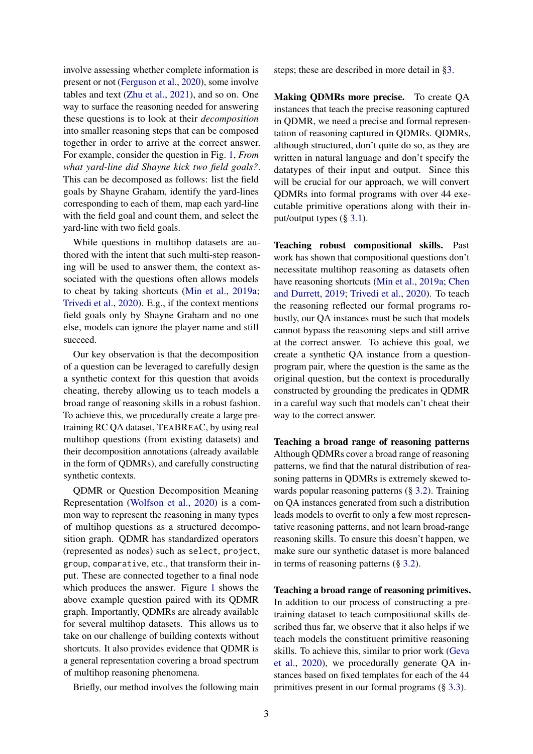involve assessing whether complete information is present or not [\(Ferguson et al.,](#page-10-4) [2020\)](#page-10-4), some involve tables and text [\(Zhu et al.,](#page-12-2) [2021\)](#page-12-2), and so on. One way to surface the reasoning needed for answering these questions is to look at their *decomposition* into smaller reasoning steps that can be composed together in order to arrive at the correct answer. For example, consider the question in Fig. [1,](#page-0-1) *From what yard-line did Shayne kick two field goals?*. This can be decomposed as follows: list the field goals by Shayne Graham, identify the yard-lines corresponding to each of them, map each yard-line with the field goal and count them, and select the yard-line with two field goals.

While questions in multihop datasets are authored with the intent that such multi-step reasoning will be used to answer them, the context associated with the questions often allows models to cheat by taking shortcuts [\(Min et al.,](#page-11-0) [2019a;](#page-11-0) [Trivedi et al.,](#page-11-1) [2020\)](#page-11-1). E.g., if the context mentions field goals only by Shayne Graham and no one else, models can ignore the player name and still succeed.

Our key observation is that the decomposition of a question can be leveraged to carefully design a synthetic context for this question that avoids cheating, thereby allowing us to teach models a broad range of reasoning skills in a robust fashion. To achieve this, we procedurally create a large pretraining RC QA dataset, TEABREAC, by using real multihop questions (from existing datasets) and their decomposition annotations (already available in the form of QDMRs), and carefully constructing synthetic contexts.

QDMR or Question Decomposition Meaning Representation [\(Wolfson et al.,](#page-11-5) [2020\)](#page-11-5) is a common way to represent the reasoning in many types of multihop questions as a structured decomposition graph. QDMR has standardized operators (represented as nodes) such as select, project, group, comparative, etc., that transform their input. These are connected together to a final node which produces the answer. Figure [1](#page-0-1) shows the above example question paired with its QDMR graph. Importantly, QDMRs are already available for several multihop datasets. This allows us to take on our challenge of building contexts without shortcuts. It also provides evidence that QDMR is a general representation covering a broad spectrum of multihop reasoning phenomena.

Briefly, our method involves the following main

steps; these are described in more detail in [§3.](#page-3-0)

Making QDMRs more precise. To create QA instances that teach the precise reasoning captured in QDMR, we need a precise and formal representation of reasoning captured in QDMRs. QDMRs, although structured, don't quite do so, as they are written in natural language and don't specify the datatypes of their input and output. Since this will be crucial for our approach, we will convert QDMRs into formal programs with over 44 executable primitive operations along with their input/output types (§ [3.1\)](#page-3-1).

Teaching robust compositional skills. Past work has shown that compositional questions don't necessitate multihop reasoning as datasets often have reasoning shortcuts [\(Min et al.,](#page-11-0) [2019a;](#page-11-0) [Chen](#page-10-0) [and Durrett,](#page-10-0) [2019;](#page-10-0) [Trivedi et al.,](#page-11-1) [2020\)](#page-11-1). To teach the reasoning reflected our formal programs robustly, our QA instances must be such that models cannot bypass the reasoning steps and still arrive at the correct answer. To achieve this goal, we create a synthetic QA instance from a questionprogram pair, where the question is the same as the original question, but the context is procedurally constructed by grounding the predicates in QDMR in a careful way such that models can't cheat their way to the correct answer.

Teaching a broad range of reasoning patterns Although QDMRs cover a broad range of reasoning patterns, we find that the natural distribution of reasoning patterns in QDMRs is extremely skewed towards popular reasoning patterns (§ [3.2\)](#page-6-0). Training on QA instances generated from such a distribution leads models to overfit to only a few most representative reasoning patterns, and not learn broad-range reasoning skills. To ensure this doesn't happen, we make sure our synthetic dataset is more balanced in terms of reasoning patterns (§ [3.2\)](#page-6-0).

Teaching a broad range of reasoning primitives. In addition to our process of constructing a pretraining dataset to teach compositional skills described thus far, we observe that it also helps if we teach models the constituent primitive reasoning skills. To achieve this, similar to prior work [\(Geva](#page-10-1) [et al.,](#page-10-1) [2020\)](#page-10-1), we procedurally generate QA instances based on fixed templates for each of the 44 primitives present in our formal programs (§ [3.3\)](#page-6-1).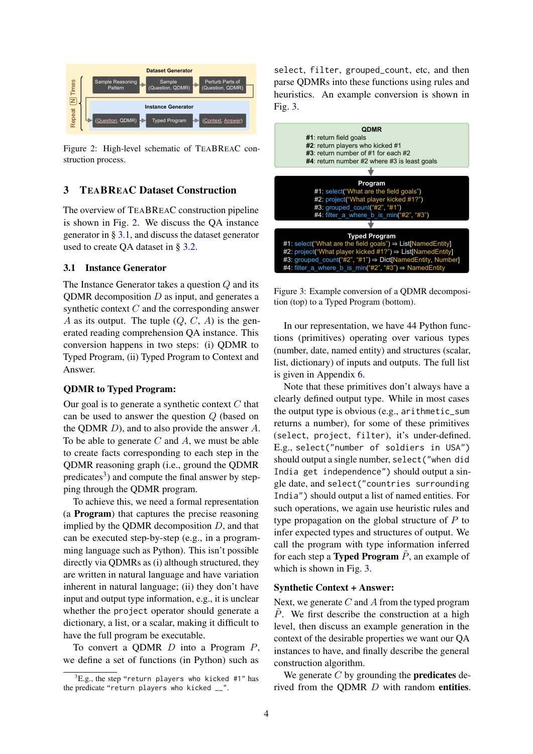<span id="page-3-2"></span>

Figure 2: High-level schematic of TEABREAC construction process.

## <span id="page-3-0"></span>3 TEABREAC Dataset Construction

The overview of TEABREAC construction pipeline is shown in Fig. [2.](#page-3-2) We discuss the QA instance generator in § [3.1,](#page-3-1) and discuss the dataset generator used to create QA dataset in § [3.2.](#page-6-0)

### <span id="page-3-1"></span>3.1 Instance Generator

The Instance Generator takes a question Q and its QDMR decomposition  $D$  as input, and generates a synthetic context C and the corresponding answer A as its output. The tuple  $(Q, C, A)$  is the generated reading comprehension QA instance. This conversion happens in two steps: (i) QDMR to Typed Program, (ii) Typed Program to Context and Answer.

### QDMR to Typed Program:

Our goal is to generate a synthetic context  $C$  that can be used to answer the question Q (based on the QDMR  $D$ ), and to also provide the answer  $A$ . To be able to generate  $C$  and  $A$ , we must be able to create facts corresponding to each step in the QDMR reasoning graph (i.e., ground the QDMR predicates<sup>[3](#page-3-3)</sup>) and compute the final answer by stepping through the QDMR program.

To achieve this, we need a formal representation (a Program) that captures the precise reasoning implied by the QDMR decomposition  $D$ , and that can be executed step-by-step (e.g., in a programming language such as Python). This isn't possible directly via QDMRs as (i) although structured, they are written in natural language and have variation inherent in natural language; (ii) they don't have input and output type information, e.g., it is unclear whether the project operator should generate a dictionary, a list, or a scalar, making it difficult to have the full program be executable.

To convert a QDMR  $D$  into a Program  $P$ , we define a set of functions (in Python) such as

select, filter, grouped\_count, etc, and then parse QDMRs into these functions using rules and heuristics. An example conversion is shown in Fig. [3.](#page-3-4)

<span id="page-3-4"></span>

Figure 3: Example conversion of a QDMR decomposition (top) to a Typed Program (bottom).

In our representation, we have 44 Python functions (primitives) operating over various types (number, date, named entity) and structures (scalar, list, dictionary) of inputs and outputs. The full list is given in Appendix [6.](#page-15-0)

Note that these primitives don't always have a clearly defined output type. While in most cases the output type is obvious (e.g., arithmetic\_sum returns a number), for some of these primitives (select, project, filter), it's under-defined. E.g., select("number of soldiers in USA") should output a single number, select("when did India get independence") should output a single date, and select("countries surrounding India") should output a list of named entities. For such operations, we again use heuristic rules and type propagation on the global structure of P to infer expected types and structures of output. We call the program with type information inferred for each step a Typed Program  $\tilde{P}$ , an example of which is shown in Fig. [3.](#page-3-4)

#### Synthetic Context + Answer:

Next, we generate  $C$  and  $A$  from the typed program  $P$ . We first describe the construction at a high level, then discuss an example generation in the context of the desirable properties we want our QA instances to have, and finally describe the general construction algorithm.

We generate  $C$  by grounding the **predicates** derived from the QDMR D with random entities.

<span id="page-3-3"></span> ${}^3$ E.g., the step "return players who kicked #1" has the predicate "return players who kicked \_\_".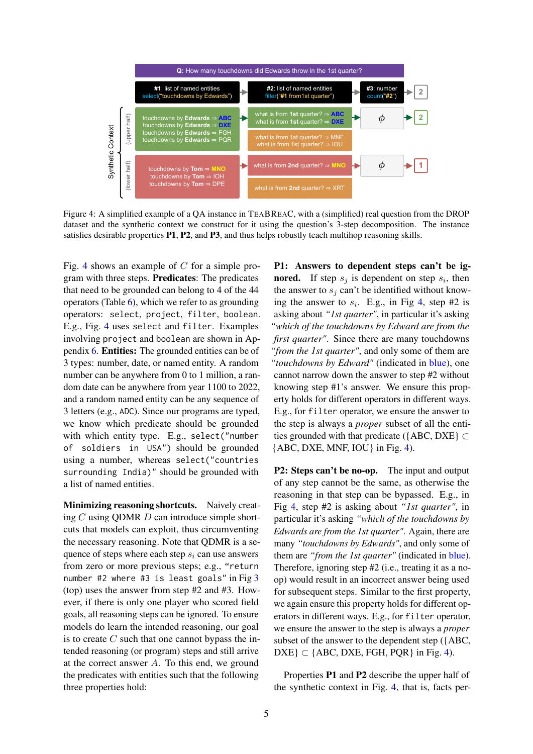<span id="page-4-0"></span>

Figure 4: A simplified example of a QA instance in TEABREAC, with a (simplified) real question from the DROP dataset and the synthetic context we construct for it using the question's 3-step decomposition. The instance satisfies desirable properties P1, P2, and P3, and thus helps robustly teach multihop reasoning skills.

Fig. [4](#page-4-0) shows an example of  $C$  for a simple program with three steps. Predicates: The predicates that need to be grounded can belong to 4 of the 44 operators (Table [6\)](#page-15-0), which we refer to as grounding operators: select, project, filter, boolean. E.g., Fig. [4](#page-4-0) uses select and filter. Examples involving project and boolean are shown in Appendix [6.](#page-14-0) Entities: The grounded entities can be of 3 types: number, date, or named entity. A random number can be anywhere from 0 to 1 million, a random date can be anywhere from year 1100 to 2022, and a random named entity can be any sequence of 3 letters (e.g., ADC). Since our programs are typed, we know which predicate should be grounded with which entity type. E.g., select("number of soldiers in USA") should be grounded using a number, whereas select("countries surrounding India)" should be grounded with a list of named entities.

Minimizing reasoning shortcuts. Naively creating  $C$  using QDMR  $D$  can introduce simple shortcuts that models can exploit, thus circumventing the necessary reasoning. Note that QDMR is a sequence of steps where each step  $s_i$  can use answers from zero or more previous steps; e.g., "return number #2 where #3 is least goals" in Fig [3](#page-3-4) (top) uses the answer from step #2 and #3. However, if there is only one player who scored field goals, all reasoning steps can be ignored. To ensure models do learn the intended reasoning, our goal is to create  $C$  such that one cannot bypass the intended reasoning (or program) steps and still arrive at the correct answer A. To this end, we ground the predicates with entities such that the following three properties hold:

P1: Answers to dependent steps can't be ig**nored.** If step  $s_j$  is dependent on step  $s_i$ , then the answer to  $s_i$  can't be identified without knowing the answer to  $s_i$ . E.g., in Fig [4,](#page-4-0) step #2 is asking about *"1st quarter"*, in particular it's asking *"which of the touchdowns by Edward are from the first quarter"*. Since there are many touchdowns *"from the 1st quarter"*, and only some of them are *"touchdowns by Edward"* (indicated in blue), one cannot narrow down the answer to step #2 without knowing step #1's answer. We ensure this property holds for different operators in different ways. E.g., for filter operator, we ensure the answer to the step is always a *proper* subset of all the entities grounded with that predicate ({ABC, DXE}  $\subset$ {ABC, DXE, MNF, IOU} in Fig. [4\)](#page-4-0).

P2: Steps can't be no-op. The input and output of any step cannot be the same, as otherwise the reasoning in that step can be bypassed. E.g., in Fig [4,](#page-4-0) step #2 is asking about *"1st quarter"*, in particular it's asking *"which of the touchdowns by Edwards are from the 1st quarter"*. Again, there are many *"touchdowns by Edwards"*, and only some of them are *"from the 1st quarter"* (indicated in blue). Therefore, ignoring step #2 (i.e., treating it as a noop) would result in an incorrect answer being used for subsequent steps. Similar to the first property, we again ensure this property holds for different operators in different ways. E.g., for filter operator, we ensure the answer to the step is always a *proper* subset of the answer to the dependent step ({ABC,  $DXE$   $\subset$  {ABC, DXE, FGH, PQR} in Fig. [4\)](#page-4-0).

Properties P1 and P2 describe the upper half of the synthetic context in Fig. [4,](#page-4-0) that is, facts per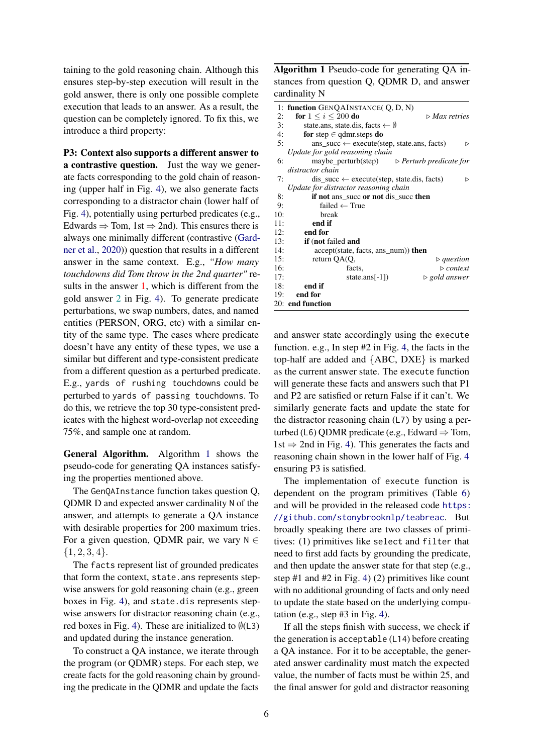taining to the gold reasoning chain. Although this ensures step-by-step execution will result in the gold answer, there is only one possible complete execution that leads to an answer. As a result, the question can be completely ignored. To fix this, we introduce a third property:

P3: Context also supports a different answer to a contrastive question. Just the way we generate facts corresponding to the gold chain of reasoning (upper half in Fig. [4\)](#page-4-0), we also generate facts corresponding to a distractor chain (lower half of Fig. [4\)](#page-4-0), potentially using perturbed predicates (e.g., Edwards  $\Rightarrow$  Tom, 1st  $\Rightarrow$  2nd). This ensures there is always one minimally different (contrastive [\(Gard](#page-10-5)[ner et al.,](#page-10-5) [2020\)](#page-10-5)) question that results in a different answer in the same context. E.g., *"How many touchdowns did Tom throw in the 2nd quarter"* results in the answer 1, which is different from the gold answer 2 in Fig. [4\)](#page-4-0). To generate predicate perturbations, we swap numbers, dates, and named entities (PERSON, ORG, etc) with a similar entity of the same type. The cases where predicate doesn't have any entity of these types, we use a similar but different and type-consistent predicate from a different question as a perturbed predicate. E.g., yards of rushing touchdowns could be perturbed to yards of passing touchdowns. To do this, we retrieve the top 30 type-consistent predicates with the highest word-overlap not exceeding 75%, and sample one at random.

General Algorithm. Algorithm [1](#page-5-0) shows the pseudo-code for generating QA instances satisfying the properties mentioned above.

The GenQAInstance function takes question Q, QDMR D and expected answer cardinality N of the answer, and attempts to generate a QA instance with desirable properties for 200 maximum tries. For a given question, QDMR pair, we vary  $N \in$  ${1, 2, 3, 4}.$ 

The facts represent list of grounded predicates that form the context, state.ans represents stepwise answers for gold reasoning chain (e.g., green boxes in Fig. [4\)](#page-4-0), and state.dis represents stepwise answers for distractor reasoning chain (e.g., red boxes in Fig. [4\)](#page-4-0). These are initialized to  $\emptyset$ (L3) and updated during the instance generation.

To construct a QA instance, we iterate through the program (or QDMR) steps. For each step, we create facts for the gold reasoning chain by grounding the predicate in the QDMR and update the facts

<span id="page-5-0"></span>Algorithm 1 Pseudo-code for generating QA instances from question Q, QDMR D, and answer cardinality N

| $\triangleright$ Max retries                                      |
|-------------------------------------------------------------------|
|                                                                   |
|                                                                   |
| ▷                                                                 |
|                                                                   |
| maybe_perturb(step) $\triangleright$ <i>Perturb predicate for</i> |
|                                                                   |
| ▷                                                                 |
|                                                                   |
|                                                                   |
|                                                                   |
|                                                                   |
|                                                                   |
|                                                                   |
|                                                                   |
|                                                                   |
| $\triangleright$ question                                         |
| $\triangleright$ context                                          |
| $\triangleright$ gold answer                                      |
|                                                                   |
|                                                                   |
|                                                                   |
|                                                                   |

and answer state accordingly using the execute function. e.g., In step #2 in Fig. [4,](#page-4-0) the facts in the top-half are added and {ABC, DXE} is marked as the current answer state. The execute function will generate these facts and answers such that P1 and P2 are satisfied or return False if it can't. We similarly generate facts and update the state for the distractor reasoning chain (L7) by using a perturbed (L6) QDMR predicate (e.g., Edward  $\Rightarrow$  Tom,  $1st \Rightarrow 2nd$  in Fig. [4\)](#page-4-0). This generates the facts and reasoning chain shown in the lower half of Fig. [4](#page-4-0) ensuring P3 is satisfied.

The implementation of execute function is dependent on the program primitives (Table [6\)](#page-15-0) and will be provided in the released code [https:](https://github.com/stonybrooknlp/teabreac) [//github.com/stonybrooknlp/teabreac](https://github.com/stonybrooknlp/teabreac). But broadly speaking there are two classes of primitives: (1) primitives like select and filter that need to first add facts by grounding the predicate, and then update the answer state for that step (e.g., step #1 and #2 in Fig. [4\)](#page-4-0) (2) primitives like count with no additional grounding of facts and only need to update the state based on the underlying computation (e.g., step  $#3$  in Fig. [4\)](#page-4-0).

If all the steps finish with success, we check if the generation is acceptable (L14) before creating a QA instance. For it to be acceptable, the generated answer cardinality must match the expected value, the number of facts must be within 25, and the final answer for gold and distractor reasoning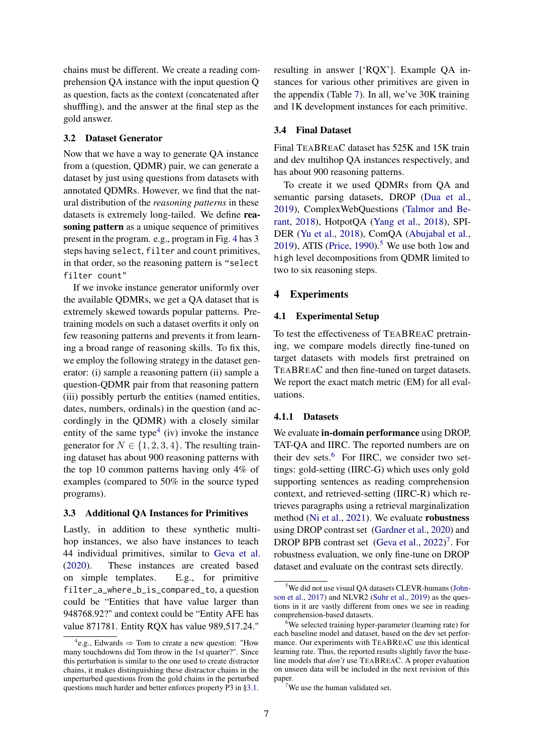chains must be different. We create a reading comprehension QA instance with the input question Q as question, facts as the context (concatenated after shuffling), and the answer at the final step as the gold answer.

#### <span id="page-6-0"></span>3.2 Dataset Generator

Now that we have a way to generate QA instance from a (question, QDMR) pair, we can generate a dataset by just using questions from datasets with annotated QDMRs. However, we find that the natural distribution of the *reasoning patterns* in these datasets is extremely long-tailed. We define reasoning pattern as a unique sequence of primitives present in the program. e.g., program in Fig. [4](#page-4-0) has 3 steps having select, filter and count primitives, in that order, so the reasoning pattern is "select filter count"

If we invoke instance generator uniformly over the available QDMRs, we get a QA dataset that is extremely skewed towards popular patterns. Pretraining models on such a dataset overfits it only on few reasoning patterns and prevents it from learning a broad range of reasoning skills. To fix this, we employ the following strategy in the dataset generator: (i) sample a reasoning pattern (ii) sample a question-QDMR pair from that reasoning pattern (iii) possibly perturb the entities (named entities, dates, numbers, ordinals) in the question (and accordingly in the QDMR) with a closely similar entity of the same type<sup>[4](#page-6-2)</sup> (iv) invoke the instance generator for  $N \in \{1, 2, 3, 4\}$ . The resulting training dataset has about 900 reasoning patterns with the top 10 common patterns having only 4% of examples (compared to 50% in the source typed programs).

#### <span id="page-6-1"></span>3.3 Additional QA Instances for Primitives

Lastly, in addition to these synthetic multihop instances, we also have instances to teach 44 individual primitives, similar to [Geva et al.](#page-10-1) [\(2020\)](#page-10-1). These instances are created based on simple templates. E.g., for primitive filter\_a\_where\_b\_is\_compared\_to, a question could be "Entities that have value larger than 948768.92?" and context could be "Entity AFE has value 871781. Entity RQX has value 989,517.24."

resulting in answer ['RQX']. Example QA instances for various other primitives are given in the appendix (Table [7\)](#page-19-0). In all, we've 30K training and 1K development instances for each primitive.

#### 3.4 Final Dataset

Final TEABREAC dataset has 525K and 15K train and dev multihop QA instances respectively, and has about 900 reasoning patterns.

To create it we used QDMRs from QA and semantic parsing datasets, DROP [\(Dua et al.,](#page-10-3) [2019\)](#page-10-3), ComplexWebQuestions [\(Talmor and Be](#page-11-6)[rant,](#page-11-6) [2018\)](#page-11-6), HotpotQA [\(Yang et al.,](#page-12-3) [2018\)](#page-12-3), SPI-DER [\(Yu et al.,](#page-12-4) [2018\)](#page-12-4), ComQA [\(Abujabal et al.,](#page-10-6) [2019\)](#page-10-6), ATIS [\(Price,](#page-11-7) [1990\)](#page-11-7).<sup>[5](#page-6-3)</sup> We use both low and high level decompositions from QDMR limited to two to six reasoning steps.

### 4 Experiments

#### 4.1 Experimental Setup

To test the effectiveness of TEABREAC pretraining, we compare models directly fine-tuned on target datasets with models first pretrained on TEABREAC and then fine-tuned on target datasets. We report the exact match metric (EM) for all evaluations.

### 4.1.1 Datasets

We evaluate in-domain performance using DROP, TAT-QA and IIRC. The reported numbers are on their dev sets. $6$  For IIRC, we consider two settings: gold-setting (IIRC-G) which uses only gold supporting sentences as reading comprehension context, and retrieved-setting (IIRC-R) which retrieves paragraphs using a retrieval marginalization method [\(Ni et al.,](#page-11-8) [2021\)](#page-11-8). We evaluate robustness using DROP contrast set [\(Gardner et al.,](#page-10-5) [2020\)](#page-10-5) and DROP BPB contrast set [\(Geva et al.,](#page-10-7) [2022\)](#page-10-7)<sup>[7](#page-6-5)</sup>. For robustness evaluation, we only fine-tune on DROP dataset and evaluate on the contrast sets directly.

<span id="page-6-2"></span> $e^{4}$ e.g., Edwards  $\Rightarrow$  Tom to create a new question: "How many touchdowns did Tom throw in the 1st quarter?". Since this perturbation is similar to the one used to create distractor chains, it makes distinguishing these distractor chains in the unperturbed questions from the gold chains in the perturbed questions much harder and better enforces property P3 in [§3.1.](#page-3-1)

<span id="page-6-3"></span><sup>&</sup>lt;sup>5</sup>We did not use visual OA datasets CLEVR-humans [\(John](#page-10-8)[son et al.,](#page-10-8) [2017\)](#page-10-8) and NLVR2 [\(Suhr et al.,](#page-11-9) [2019\)](#page-11-9) as the questions in it are vastly different from ones we see in reading comprehension-based datasets.

<span id="page-6-4"></span><sup>&</sup>lt;sup>6</sup>We selected training hyper-parameter (learning rate) for each baseline model and dataset, based on the dev set performance. Our experiments with TEABREAC use this identical learning rate. Thus, the reported results slightly favor the baseline models that *don't* use TEABREAC. A proper evaluation on unseen data will be included in the next revision of this paper.

<span id="page-6-5"></span><sup>&</sup>lt;sup>7</sup>We use the human validated set.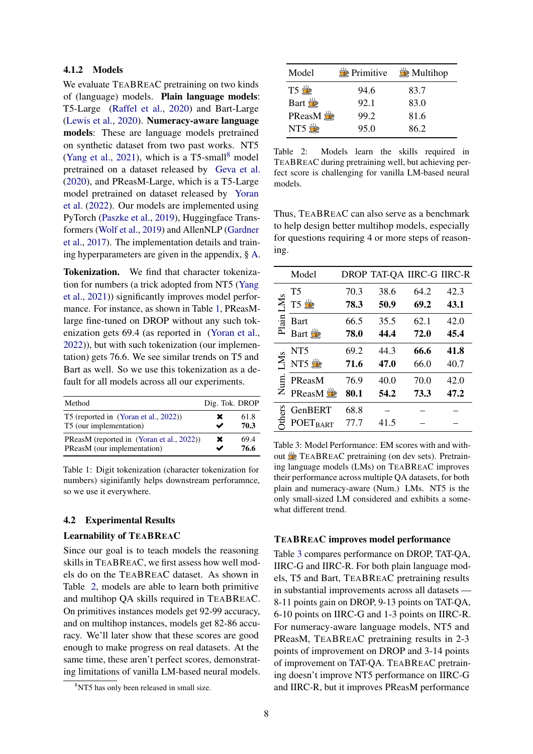#### 4.1.2 Models

We evaluate TEABREAC pretraining on two kinds of (language) models. Plain language models: T5-Large [\(Raffel et al.,](#page-11-10) [2020\)](#page-11-10) and Bart-Large [\(Lewis et al.,](#page-11-11) [2020\)](#page-11-11). Numeracy-aware language models: These are language models pretrained on synthetic dataset from two past works. NT5 [\(Yang et al.,](#page-12-0) [2021\)](#page-12-0), which is a  $T5$ -small<sup>[8](#page-7-0)</sup> model pretrained on a dataset released by [Geva et al.](#page-10-1) [\(2020\)](#page-10-1), and PReasM-Large, which is a T5-Large model pretrained on dataset released by [Yoran](#page-12-1) [et al.](#page-12-1) [\(2022\)](#page-12-1). Our models are implemented using PyTorch [\(Paszke et al.,](#page-11-12) [2019\)](#page-11-12), Huggingface Transformers [\(Wolf et al.,](#page-11-13) [2019\)](#page-11-13) and AllenNLP [\(Gardner](#page-10-9) [et al.,](#page-10-9) [2017\)](#page-10-9). The implementation details and training hyperparameters are given in the appendix, § [A.](#page-13-0)

Tokenization. We find that character tokenization for numbers (a trick adopted from NT5 [\(Yang](#page-12-0) [et al.,](#page-12-0) [2021\)](#page-12-0)) significantly improves model performance. For instance, as shown in Table [1,](#page-7-1) PReasMlarge fine-tuned on DROP without any such tokenization gets 69.4 (as reported in [\(Yoran et al.,](#page-12-1) [2022\)](#page-12-1)), but with such tokenization (our implementation) gets 76.6. We see similar trends on T5 and Bart as well. So we use this tokenization as a default for all models across all our experiments.

<span id="page-7-1"></span>

| Method                                                                   |   | Dig. Tok. DROP |
|--------------------------------------------------------------------------|---|----------------|
| T5 (reported in (Yoran et al., 2022))<br>T5 (our implementation)         | x | 61.8<br>70.3   |
| PReasM (reported in (Yoran et al., 2022))<br>PReasM (our implementation) | × | 69.4<br>76.6   |

Table 1: Digit tokenization (character tokenization for numbers) siginifantly helps downstream perforamnce, so we use it everywhere.

### 4.2 Experimental Results

#### Learnability of TEABREAC

Since our goal is to teach models the reasoning skills in TEABREAC, we first assess how well models do on the TEABREAC dataset. As shown in Table [2,](#page-7-2) models are able to learn both primitive and multihop QA skills required in TEABREAC. On primitives instances models get 92-99 accuracy, and on multihop instances, models get 82-86 accuracy. We'll later show that these scores are good enough to make progress on real datasets. At the same time, these aren't perfect scores, demonstrating limitations of vanilla LM-based neural models.

<span id="page-7-2"></span>

| Model               |      | $\frac{35}{22}$ Primitive $\frac{15}{22}$ Multihop |
|---------------------|------|----------------------------------------------------|
| $T5 \frac{1}{12}$   | 94.6 | 83.7                                               |
| Bart $\frac{1}{10}$ | 92.1 | 83.0                                               |
| PReasM 堂            | 99.2 | 81.6                                               |
| NT5 堂               | 95.0 | 86.2                                               |

Table 2: Models learn the skills required in TEABREAC during pretraining well, but achieving perfect score is challenging for vanilla LM-based neural models.

Thus, TEABREAC can also serve as a benchmark to help design better multihop models, especially for questions requiring 4 or more steps of reasoning.

<span id="page-7-3"></span>

|       | Model               |      | DROP TAT-QA IIRC-G IIRC-R |      |      |
|-------|---------------------|------|---------------------------|------|------|
|       | <b>T5</b>           | 70.3 | 38.6                      | 64.2 | 42.3 |
| LMS   | T5 堂                | 78.3 | 50.9                      | 69.2 | 43.1 |
| Plain | Bart                | 66.5 | 35.5                      | 62.1 | 42.0 |
|       | Bart in             | 78.0 | 44.4                      | 72.0 | 45.4 |
|       | NT <sub>5</sub>     | 69.2 | 44.3                      | 66.6 | 41.8 |
| LMS   | NT5 $\frac{16}{22}$ | 71.6 | 47.0                      | 66.0 | 40.7 |
|       | PReasM              | 76.9 | 40.0                      | 70.0 | 42.0 |
| Ž.    | <b>PReasM</b>       | 80.1 | 54.2                      | 73.3 | 47.2 |
| ers   | GenBERT             | 68.8 |                           |      |      |
|       | <b>POETBART</b>     | 77.7 | 41.5                      |      |      |

Table 3: Model Performance: EM scores with and with-Out **TEABREAC** pretraining (on dev sets). Pretraining language models (LMs) on TEABREAC improves their performance across multiple QA datasets, for both plain and numeracy-aware (Num.) LMs. NT5 is the only small-sized LM considered and exhibits a somewhat different trend.

#### TEABREAC improves model performance

Table [3](#page-7-3) compares performance on DROP, TAT-QA, IIRC-G and IIRC-R. For both plain language models, T5 and Bart, TEABREAC pretraining results in substantial improvements across all datasets — 8-11 points gain on DROP, 9-13 points on TAT-QA, 6-10 points on IIRC-G and 1-3 points on IIRC-R. For numeracy-aware language models, NT5 and PReasM, TEABREAC pretraining results in 2-3 points of improvement on DROP and 3-14 points of improvement on TAT-QA. TEABREAC pretraining doesn't improve NT5 performance on IIRC-G and IIRC-R, but it improves PReasM performance

<span id="page-7-0"></span><sup>&</sup>lt;sup>8</sup>NT5 has only been released in small size.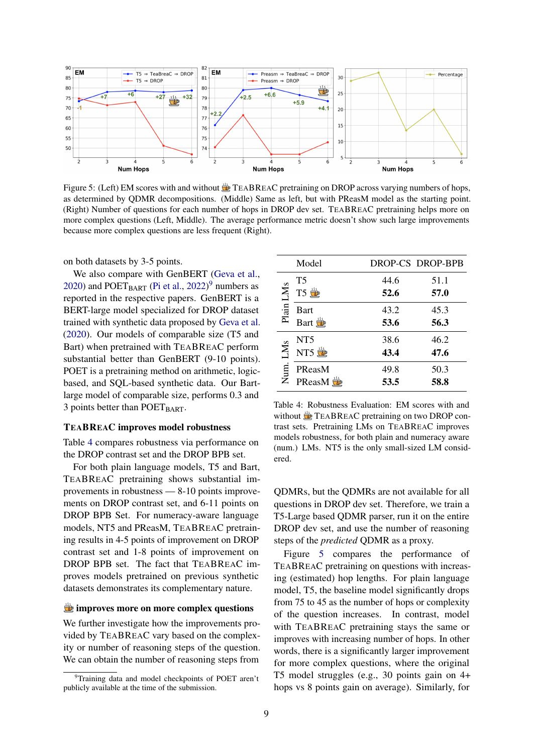<span id="page-8-2"></span>

Figure 5: (Left) EM scores with and without  $\frac{100}{200}$  TEABREAC pretraining on DROP across varying numbers of hops, as determined by QDMR decompositions. (Middle) Same as left, but with PReasM model as the starting point. (Right) Number of questions for each number of hops in DROP dev set. TEABREAC pretraining helps more on more complex questions (Left, Middle). The average performance metric doesn't show such large improvements because more complex questions are less frequent (Right).

on both datasets by 3-5 points.

We also compare with GenBERT [\(Geva et al.,](#page-10-1) [2020\)](#page-10-1) and  $POET_{BART}$  [\(Pi et al.,](#page-11-2) [2022\)](#page-11-2)<sup>[9](#page-8-0)</sup> numbers as reported in the respective papers. GenBERT is a BERT-large model specialized for DROP dataset trained with synthetic data proposed by [Geva et al.](#page-10-1) [\(2020\)](#page-10-1). Our models of comparable size (T5 and Bart) when pretrained with TEABREAC perform substantial better than GenBERT (9-10 points). POET is a pretraining method on arithmetic, logicbased, and SQL-based synthetic data. Our Bartlarge model of comparable size, performs 0.3 and 3 points better than  $POET<sub>BART</sub>$ .

#### TEABREAC improves model robustness

Table [4](#page-8-1) compares robustness via performance on the DROP contrast set and the DROP BPB set.

For both plain language models, T5 and Bart, TEABREAC pretraining shows substantial improvements in robustness — 8-10 points improvements on DROP contrast set, and 6-11 points on DROP BPB Set. For numeracy-aware language models, NT5 and PReasM, TEABREAC pretraining results in 4-5 points of improvement on DROP contrast set and 1-8 points of improvement on DROP BPB set. The fact that TEABREAC improves models pretrained on previous synthetic datasets demonstrates its complementary nature.

#### improves more on more complex questions

We further investigate how the improvements provided by TEABREAC vary based on the complexity or number of reasoning steps of the question. We can obtain the number of reasoning steps from

<span id="page-8-1"></span>

|             | Model               |      | DROP-CS DROP-BPB |
|-------------|---------------------|------|------------------|
|             | T5                  | 44.6 | 51.1             |
| Plain LMs   | T5 卷                | 52.6 | 57.0             |
|             | <b>Bart</b>         | 43.2 | 45.3             |
|             | Bart <sub>155</sub> | 53.6 | 56.3             |
| LMs<br>Num. | NT5                 | 38.6 | 46.2             |
|             | NT5 堂               | 43.4 | 47.6             |
|             | PReasM              | 49.8 | 50.3             |
|             | <b>PReasM</b>       | 53.5 | 58.8             |

Table 4: Robustness Evaluation: EM scores with and without **TEABREAC** pretraining on two DROP contrast sets. Pretraining LMs on TEABREAC improves models robustness, for both plain and numeracy aware (num.) LMs. NT5 is the only small-sized LM considered.

QDMRs, but the QDMRs are not available for all questions in DROP dev set. Therefore, we train a T5-Large based QDMR parser, run it on the entire DROP dev set, and use the number of reasoning steps of the *predicted* QDMR as a proxy.

Figure [5](#page-8-2) compares the performance of TEABREAC pretraining on questions with increasing (estimated) hop lengths. For plain language model, T5, the baseline model significantly drops from 75 to 45 as the number of hops or complexity of the question increases. In contrast, model with TEABREAC pretraining stays the same or improves with increasing number of hops. In other words, there is a significantly larger improvement for more complex questions, where the original T5 model struggles (e.g., 30 points gain on 4+ hops vs 8 points gain on average). Similarly, for

<span id="page-8-0"></span><sup>&</sup>lt;sup>9</sup>Training data and model checkpoints of POET aren't publicly available at the time of the submission.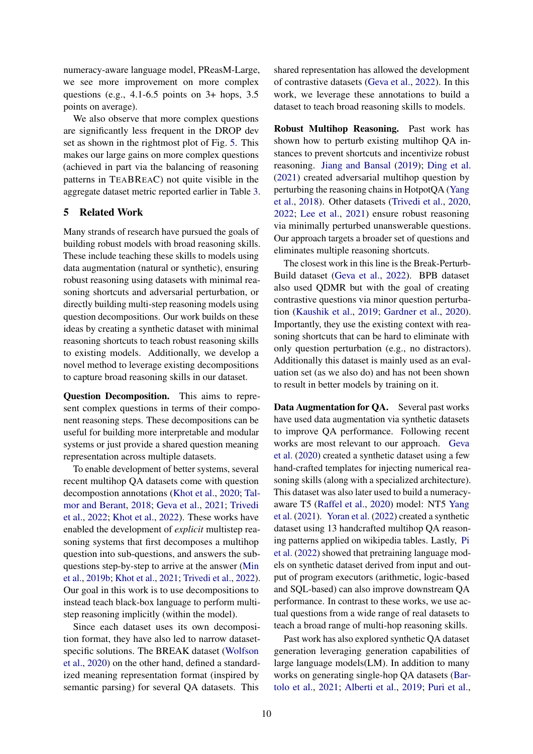numeracy-aware language model, PReasM-Large, we see more improvement on more complex questions (e.g., 4.1-6.5 points on 3+ hops, 3.5 points on average).

We also observe that more complex questions are significantly less frequent in the DROP dev set as shown in the rightmost plot of Fig. [5.](#page-8-2) This makes our large gains on more complex questions (achieved in part via the balancing of reasoning patterns in TEABREAC) not quite visible in the aggregate dataset metric reported earlier in Table [3.](#page-7-3)

#### 5 Related Work

Many strands of research have pursued the goals of building robust models with broad reasoning skills. These include teaching these skills to models using data augmentation (natural or synthetic), ensuring robust reasoning using datasets with minimal reasoning shortcuts and adversarial perturbation, or directly building multi-step reasoning models using question decompositions. Our work builds on these ideas by creating a synthetic dataset with minimal reasoning shortcuts to teach robust reasoning skills to existing models. Additionally, we develop a novel method to leverage existing decompositions to capture broad reasoning skills in our dataset.

Question Decomposition. This aims to represent complex questions in terms of their component reasoning steps. These decompositions can be useful for building more interpretable and modular systems or just provide a shared question meaning representation across multiple datasets.

To enable development of better systems, several recent multihop QA datasets come with question decompostion annotations [\(Khot et al.,](#page-11-14) [2020;](#page-11-14) [Tal](#page-11-6)[mor and Berant,](#page-11-6) [2018;](#page-11-6) [Geva et al.,](#page-10-10) [2021;](#page-10-10) [Trivedi](#page-11-3) [et al.,](#page-11-3) [2022;](#page-11-3) [Khot et al.,](#page-11-4) [2022\)](#page-11-4). These works have enabled the development of *explicit* multistep reasoning systems that first decomposes a multihop question into sub-questions, and answers the subquestions step-by-step to arrive at the answer [\(Min](#page-11-15) [et al.,](#page-11-15) [2019b;](#page-11-15) [Khot et al.,](#page-11-16) [2021;](#page-11-16) [Trivedi et al.,](#page-11-3) [2022\)](#page-11-3). Our goal in this work is to use decompositions to instead teach black-box language to perform multistep reasoning implicitly (within the model).

Since each dataset uses its own decomposition format, they have also led to narrow datasetspecific solutions. The BREAK dataset [\(Wolfson](#page-11-5) [et al.,](#page-11-5) [2020\)](#page-11-5) on the other hand, defined a standardized meaning representation format (inspired by semantic parsing) for several QA datasets. This

shared representation has allowed the development of contrastive datasets [\(Geva et al.,](#page-10-7) [2022\)](#page-10-7). In this work, we leverage these annotations to build a dataset to teach broad reasoning skills to models.

Robust Multihop Reasoning. Past work has shown how to perturb existing multihop QA instances to prevent shortcuts and incentivize robust reasoning. [Jiang and Bansal](#page-10-11) [\(2019\)](#page-10-11); [Ding et al.](#page-10-12) [\(2021\)](#page-10-12) created adversarial multihop question by perturbing the reasoning chains in HotpotQA [\(Yang](#page-12-3) [et al.,](#page-12-3) [2018\)](#page-12-3). Other datasets [\(Trivedi et al.,](#page-11-1) [2020,](#page-11-1) [2022;](#page-11-3) [Lee et al.,](#page-11-17) [2021\)](#page-11-17) ensure robust reasoning via minimally perturbed unanswerable questions. Our approach targets a broader set of questions and eliminates multiple reasoning shortcuts.

The closest work in this line is the Break-Perturb-Build dataset [\(Geva et al.,](#page-10-7) [2022\)](#page-10-7). BPB dataset also used QDMR but with the goal of creating contrastive questions via minor question perturbation [\(Kaushik et al.,](#page-11-18) [2019;](#page-11-18) [Gardner et al.,](#page-10-5) [2020\)](#page-10-5). Importantly, they use the existing context with reasoning shortcuts that can be hard to eliminate with only question perturbation (e.g., no distractors). Additionally this dataset is mainly used as an evaluation set (as we also do) and has not been shown to result in better models by training on it.

Data Augmentation for QA. Several past works have used data augmentation via synthetic datasets to improve QA performance. Following recent works are most relevant to our approach. [Geva](#page-10-1) [et al.](#page-10-1) [\(2020\)](#page-10-1) created a synthetic dataset using a few hand-crafted templates for injecting numerical reasoning skills (along with a specialized architecture). This dataset was also later used to build a numeracyaware T5 [\(Raffel et al.,](#page-11-10) [2020\)](#page-11-10) model: NT5 [Yang](#page-12-0) [et al.](#page-12-0) [\(2021\)](#page-12-0). [Yoran et al.](#page-12-1) [\(2022\)](#page-12-1) created a synthetic dataset using 13 handcrafted multihop QA reasoning patterns applied on wikipedia tables. Lastly, [Pi](#page-11-2) [et al.](#page-11-2) [\(2022\)](#page-11-2) showed that pretraining language models on synthetic dataset derived from input and output of program executors (arithmetic, logic-based and SQL-based) can also improve downstream QA performance. In contrast to these works, we use actual questions from a wide range of real datasets to teach a broad range of multi-hop reasoning skills.

Past work has also explored synthetic QA dataset generation leveraging generation capabilities of large language models(LM). In addition to many works on generating single-hop QA datasets [\(Bar](#page-10-13)[tolo et al.,](#page-10-13) [2021;](#page-10-13) [Alberti et al.,](#page-10-14) [2019;](#page-10-14) [Puri et al.,](#page-11-19)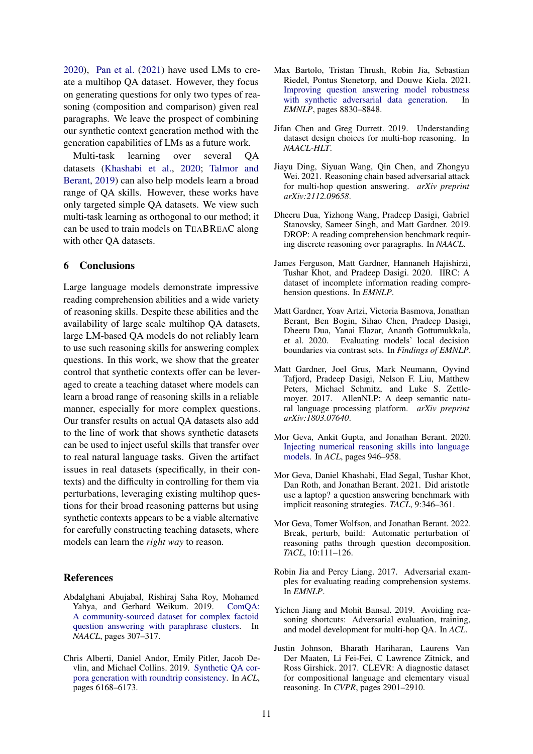[2020\)](#page-11-19), [Pan et al.](#page-11-20) [\(2021\)](#page-11-20) have used LMs to create a multihop QA dataset. However, they focus on generating questions for only two types of reasoning (composition and comparison) given real paragraphs. We leave the prospect of combining our synthetic context generation method with the generation capabilities of LMs as a future work.

Multi-task learning over several QA datasets [\(Khashabi et al.,](#page-11-21) [2020;](#page-11-21) [Talmor and](#page-11-22) [Berant,](#page-11-22) [2019\)](#page-11-22) can also help models learn a broad range of QA skills. However, these works have only targeted simple QA datasets. We view such multi-task learning as orthogonal to our method; it can be used to train models on TEABREAC along with other QA datasets.

#### 6 Conclusions

Large language models demonstrate impressive reading comprehension abilities and a wide variety of reasoning skills. Despite these abilities and the availability of large scale multihop QA datasets, large LM-based QA models do not reliably learn to use such reasoning skills for answering complex questions. In this work, we show that the greater control that synthetic contexts offer can be leveraged to create a teaching dataset where models can learn a broad range of reasoning skills in a reliable manner, especially for more complex questions. Our transfer results on actual QA datasets also add to the line of work that shows synthetic datasets can be used to inject useful skills that transfer over to real natural language tasks. Given the artifact issues in real datasets (specifically, in their contexts) and the difficulty in controlling for them via perturbations, leveraging existing multihop questions for their broad reasoning patterns but using synthetic contexts appears to be a viable alternative for carefully constructing teaching datasets, where models can learn the *right way* to reason.

#### References

- <span id="page-10-6"></span>Abdalghani Abujabal, Rishiraj Saha Roy, Mohamed Yahya, and Gerhard Weikum. 2019. [ComQA:](https://doi.org/10.18653/v1/N19-1027) [A community-sourced dataset for complex factoid](https://doi.org/10.18653/v1/N19-1027) [question answering with paraphrase clusters.](https://doi.org/10.18653/v1/N19-1027) In *NAACL*, pages 307–317.
- <span id="page-10-14"></span>Chris Alberti, Daniel Andor, Emily Pitler, Jacob Devlin, and Michael Collins. 2019. [Synthetic QA cor](https://doi.org/10.18653/v1/P19-1620)[pora generation with roundtrip consistency.](https://doi.org/10.18653/v1/P19-1620) In *ACL*, pages 6168–6173.
- <span id="page-10-13"></span>Max Bartolo, Tristan Thrush, Robin Jia, Sebastian Riedel, Pontus Stenetorp, and Douwe Kiela. 2021. [Improving question answering model robustness](https://doi.org/10.18653/v1/2021.emnlp-main.696) [with synthetic adversarial data generation.](https://doi.org/10.18653/v1/2021.emnlp-main.696) In *EMNLP*, pages 8830–8848.
- <span id="page-10-0"></span>Jifan Chen and Greg Durrett. 2019. Understanding dataset design choices for multi-hop reasoning. In *NAACL-HLT*.
- <span id="page-10-12"></span>Jiayu Ding, Siyuan Wang, Qin Chen, and Zhongyu Wei. 2021. Reasoning chain based adversarial attack for multi-hop question answering. *arXiv preprint arXiv:2112.09658*.
- <span id="page-10-3"></span>Dheeru Dua, Yizhong Wang, Pradeep Dasigi, Gabriel Stanovsky, Sameer Singh, and Matt Gardner. 2019. DROP: A reading comprehension benchmark requiring discrete reasoning over paragraphs. In *NAACL*.
- <span id="page-10-4"></span>James Ferguson, Matt Gardner, Hannaneh Hajishirzi, Tushar Khot, and Pradeep Dasigi. 2020. IIRC: A dataset of incomplete information reading comprehension questions. In *EMNLP*.
- <span id="page-10-5"></span>Matt Gardner, Yoav Artzi, Victoria Basmova, Jonathan Berant, Ben Bogin, Sihao Chen, Pradeep Dasigi, Dheeru Dua, Yanai Elazar, Ananth Gottumukkala, et al. 2020. Evaluating models' local decision boundaries via contrast sets. In *Findings of EMNLP*.
- <span id="page-10-9"></span>Matt Gardner, Joel Grus, Mark Neumann, Oyvind Tafjord, Pradeep Dasigi, Nelson F. Liu, Matthew Peters, Michael Schmitz, and Luke S. Zettlemoyer. 2017. AllenNLP: A deep semantic natural language processing platform. *arXiv preprint arXiv:1803.07640*.
- <span id="page-10-1"></span>Mor Geva, Ankit Gupta, and Jonathan Berant. 2020. [Injecting numerical reasoning skills into language](https://doi.org/10.18653/v1/2020.acl-main.89) [models.](https://doi.org/10.18653/v1/2020.acl-main.89) In *ACL*, pages 946–958.
- <span id="page-10-10"></span>Mor Geva, Daniel Khashabi, Elad Segal, Tushar Khot, Dan Roth, and Jonathan Berant. 2021. Did aristotle use a laptop? a question answering benchmark with implicit reasoning strategies. *TACL*, 9:346–361.
- <span id="page-10-7"></span>Mor Geva, Tomer Wolfson, and Jonathan Berant. 2022. Break, perturb, build: Automatic perturbation of reasoning paths through question decomposition. *TACL*, 10:111–126.
- <span id="page-10-2"></span>Robin Jia and Percy Liang. 2017. Adversarial examples for evaluating reading comprehension systems. In *EMNLP*.
- <span id="page-10-11"></span>Yichen Jiang and Mohit Bansal. 2019. Avoiding reasoning shortcuts: Adversarial evaluation, training, and model development for multi-hop QA. In *ACL*.
- <span id="page-10-8"></span>Justin Johnson, Bharath Hariharan, Laurens Van Der Maaten, Li Fei-Fei, C Lawrence Zitnick, and Ross Girshick. 2017. CLEVR: A diagnostic dataset for compositional language and elementary visual reasoning. In *CVPR*, pages 2901–2910.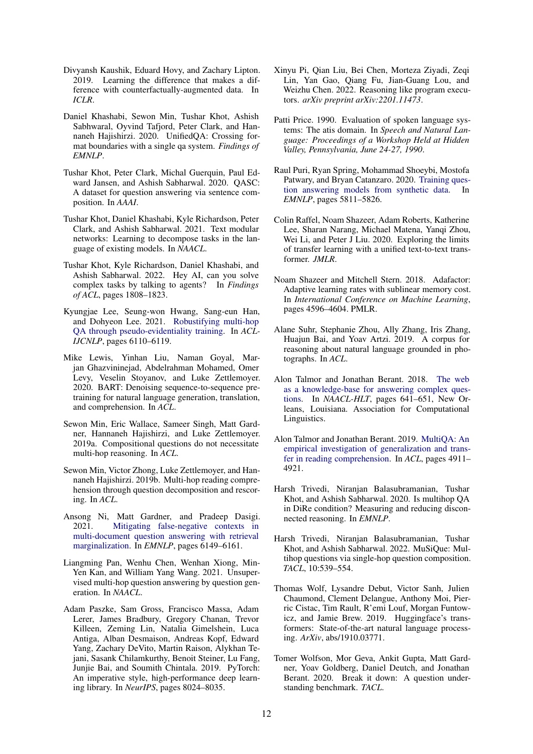- <span id="page-11-18"></span>Divyansh Kaushik, Eduard Hovy, and Zachary Lipton. 2019. Learning the difference that makes a difference with counterfactually-augmented data. In *ICLR*.
- <span id="page-11-21"></span>Daniel Khashabi, Sewon Min, Tushar Khot, Ashish Sabhwaral, Oyvind Tafjord, Peter Clark, and Hannaneh Hajishirzi. 2020. UnifiedQA: Crossing format boundaries with a single qa system. *Findings of EMNLP*.
- <span id="page-11-14"></span>Tushar Khot, Peter Clark, Michal Guerquin, Paul Edward Jansen, and Ashish Sabharwal. 2020. QASC: A dataset for question answering via sentence composition. In *AAAI*.
- <span id="page-11-16"></span>Tushar Khot, Daniel Khashabi, Kyle Richardson, Peter Clark, and Ashish Sabharwal. 2021. Text modular networks: Learning to decompose tasks in the language of existing models. In *NAACL*.
- <span id="page-11-4"></span>Tushar Khot, Kyle Richardson, Daniel Khashabi, and Ashish Sabharwal. 2022. Hey AI, can you solve complex tasks by talking to agents? In *Findings of ACL*, pages 1808–1823.
- <span id="page-11-17"></span>Kyungjae Lee, Seung-won Hwang, Sang-eun Han, and Dohyeon Lee. 2021. [Robustifying multi-hop](https://doi.org/10.18653/v1/2021.acl-long.476) [QA through pseudo-evidentiality training.](https://doi.org/10.18653/v1/2021.acl-long.476) In *ACL-IJCNLP*, pages 6110–6119.
- <span id="page-11-11"></span>Mike Lewis, Yinhan Liu, Naman Goyal, Marjan Ghazvininejad, Abdelrahman Mohamed, Omer Levy, Veselin Stoyanov, and Luke Zettlemoyer. 2020. BART: Denoising sequence-to-sequence pretraining for natural language generation, translation, and comprehension. In *ACL*.
- <span id="page-11-0"></span>Sewon Min, Eric Wallace, Sameer Singh, Matt Gardner, Hannaneh Hajishirzi, and Luke Zettlemoyer. 2019a. Compositional questions do not necessitate multi-hop reasoning. In *ACL*.
- <span id="page-11-15"></span>Sewon Min, Victor Zhong, Luke Zettlemoyer, and Hannaneh Hajishirzi. 2019b. Multi-hop reading comprehension through question decomposition and rescoring. In *ACL*.
- <span id="page-11-8"></span>Ansong Ni, Matt Gardner, and Pradeep Dasigi. 2021. [Mitigating false-negative contexts in](https://doi.org/10.18653/v1/2021.emnlp-main.497) [multi-document question answering with retrieval](https://doi.org/10.18653/v1/2021.emnlp-main.497) [marginalization.](https://doi.org/10.18653/v1/2021.emnlp-main.497) In *EMNLP*, pages 6149–6161.
- <span id="page-11-20"></span>Liangming Pan, Wenhu Chen, Wenhan Xiong, Min-Yen Kan, and William Yang Wang. 2021. Unsupervised multi-hop question answering by question generation. In *NAACL*.
- <span id="page-11-12"></span>Adam Paszke, Sam Gross, Francisco Massa, Adam Lerer, James Bradbury, Gregory Chanan, Trevor Killeen, Zeming Lin, Natalia Gimelshein, Luca Antiga, Alban Desmaison, Andreas Kopf, Edward Yang, Zachary DeVito, Martin Raison, Alykhan Tejani, Sasank Chilamkurthy, Benoit Steiner, Lu Fang, Junjie Bai, and Soumith Chintala. 2019. PyTorch: An imperative style, high-performance deep learning library. In *NeurIPS*, pages 8024–8035.
- <span id="page-11-2"></span>Xinyu Pi, Qian Liu, Bei Chen, Morteza Ziyadi, Zeqi Lin, Yan Gao, Qiang Fu, Jian-Guang Lou, and Weizhu Chen. 2022. Reasoning like program executors. *arXiv preprint arXiv:2201.11473*.
- <span id="page-11-7"></span>Patti Price. 1990. Evaluation of spoken language systems: The atis domain. In *Speech and Natural Language: Proceedings of a Workshop Held at Hidden Valley, Pennsylvania, June 24-27, 1990*.
- <span id="page-11-19"></span>Raul Puri, Ryan Spring, Mohammad Shoeybi, Mostofa Patwary, and Bryan Catanzaro. 2020. [Training ques](https://doi.org/10.18653/v1/2020.emnlp-main.468)[tion answering models from synthetic data.](https://doi.org/10.18653/v1/2020.emnlp-main.468) In *EMNLP*, pages 5811–5826.
- <span id="page-11-10"></span>Colin Raffel, Noam Shazeer, Adam Roberts, Katherine Lee, Sharan Narang, Michael Matena, Yanqi Zhou, Wei Li, and Peter J Liu. 2020. Exploring the limits of transfer learning with a unified text-to-text transformer. *JMLR*.
- <span id="page-11-23"></span>Noam Shazeer and Mitchell Stern. 2018. Adafactor: Adaptive learning rates with sublinear memory cost. In *International Conference on Machine Learning*, pages 4596–4604. PMLR.
- <span id="page-11-9"></span>Alane Suhr, Stephanie Zhou, Ally Zhang, Iris Zhang, Huajun Bai, and Yoav Artzi. 2019. A corpus for reasoning about natural language grounded in photographs. In *ACL*.
- <span id="page-11-6"></span>Alon Talmor and Jonathan Berant. 2018. [The web](https://doi.org/10.18653/v1/N18-1059) [as a knowledge-base for answering complex ques](https://doi.org/10.18653/v1/N18-1059)[tions.](https://doi.org/10.18653/v1/N18-1059) In *NAACL-HLT*, pages 641–651, New Orleans, Louisiana. Association for Computational Linguistics.
- <span id="page-11-22"></span>Alon Talmor and Jonathan Berant. 2019. [MultiQA: An](https://doi.org/10.18653/v1/P19-1485) [empirical investigation of generalization and trans](https://doi.org/10.18653/v1/P19-1485)[fer in reading comprehension.](https://doi.org/10.18653/v1/P19-1485) In *ACL*, pages 4911– 4921.
- <span id="page-11-1"></span>Harsh Trivedi, Niranjan Balasubramanian, Tushar Khot, and Ashish Sabharwal. 2020. Is multihop QA in DiRe condition? Measuring and reducing disconnected reasoning. In *EMNLP*.
- <span id="page-11-3"></span>Harsh Trivedi, Niranjan Balasubramanian, Tushar Khot, and Ashish Sabharwal. 2022. MuSiQue: Multihop questions via single-hop question composition. *TACL*, 10:539–554.
- <span id="page-11-13"></span>Thomas Wolf, Lysandre Debut, Victor Sanh, Julien Chaumond, Clement Delangue, Anthony Moi, Pierric Cistac, Tim Rault, R'emi Louf, Morgan Funtowicz, and Jamie Brew. 2019. Huggingface's transformers: State-of-the-art natural language processing. *ArXiv*, abs/1910.03771.
- <span id="page-11-5"></span>Tomer Wolfson, Mor Geva, Ankit Gupta, Matt Gardner, Yoav Goldberg, Daniel Deutch, and Jonathan Berant. 2020. Break it down: A question understanding benchmark. *TACL*.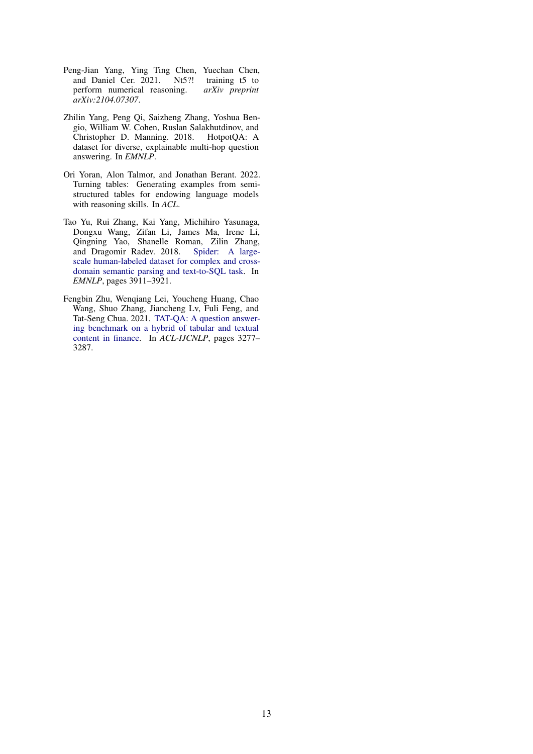- <span id="page-12-0"></span>Peng-Jian Yang, Ying Ting Chen, Yuechan Chen, and Daniel Cer. 2021. Nt5?! training t5 to perform numerical reasoning. *arXiv preprint arXiv:2104.07307*.
- <span id="page-12-3"></span>Zhilin Yang, Peng Qi, Saizheng Zhang, Yoshua Bengio, William W. Cohen, Ruslan Salakhutdinov, and Christopher D. Manning. 2018. HotpotQA: A dataset for diverse, explainable multi-hop question answering. In *EMNLP*.
- <span id="page-12-1"></span>Ori Yoran, Alon Talmor, and Jonathan Berant. 2022. Turning tables: Generating examples from semistructured tables for endowing language models with reasoning skills. In *ACL*.
- <span id="page-12-4"></span>Tao Yu, Rui Zhang, Kai Yang, Michihiro Yasunaga, Dongxu Wang, Zifan Li, James Ma, Irene Li, Qingning Yao, Shanelle Roman, Zilin Zhang, and Dragomir Radev. 2018. [Spider: A large](https://doi.org/10.18653/v1/D18-1425)[scale human-labeled dataset for complex and cross](https://doi.org/10.18653/v1/D18-1425)[domain semantic parsing and text-to-SQL task.](https://doi.org/10.18653/v1/D18-1425) In *EMNLP*, pages 3911–3921.
- <span id="page-12-2"></span>Fengbin Zhu, Wenqiang Lei, Youcheng Huang, Chao Wang, Shuo Zhang, Jiancheng Lv, Fuli Feng, and Tat-Seng Chua. 2021. [TAT-QA: A question answer](https://doi.org/10.18653/v1/2021.acl-long.254)[ing benchmark on a hybrid of tabular and textual](https://doi.org/10.18653/v1/2021.acl-long.254) [content in finance.](https://doi.org/10.18653/v1/2021.acl-long.254) In *ACL-IJCNLP*, pages 3277– 3287.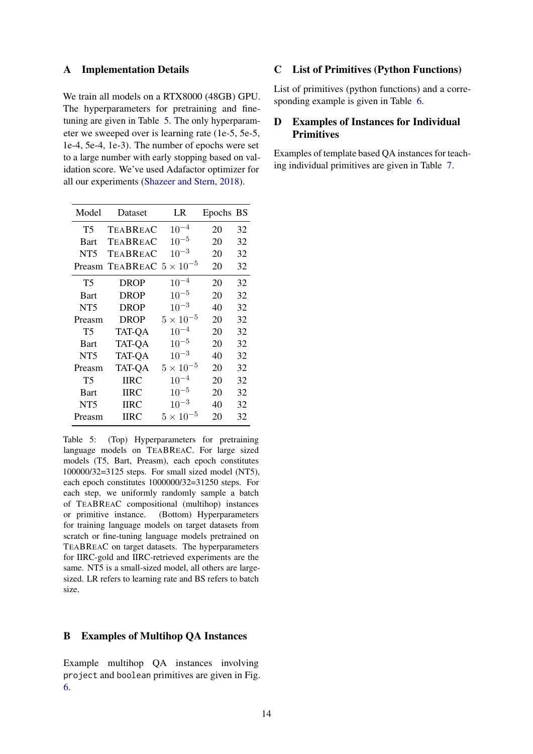#### <span id="page-13-0"></span>A Implementation Details

We train all models on a RTX8000 (48GB) GPU. The hyperparameters for pretraining and finetuning are given in Table [5.](#page-13-1) The only hyperparameter we sweeped over is learning rate (1e-5, 5e-5, 1e-4, 5e-4, 1e-3). The number of epochs were set to a large number with early stopping based on validation score. We've used Adafactor optimizer for all our experiments [\(Shazeer and Stern,](#page-11-23) [2018\)](#page-11-23).

<span id="page-13-1"></span>

| Model           | Dataset       | LR                 | Epochs BS |    |
|-----------------|---------------|--------------------|-----------|----|
| T5              | TEABREAC      | $10^{-4}$          | 20        | 32 |
| <b>Bart</b>     | TEABREAC      | $10^{-5}$          | 20        | 32 |
| NT5             | TEABREAC      | $10^{-3}$          | 20        | 32 |
| Preasm          | TEABREAC 5    | $\times$ $10^{-5}$ | 20        | 32 |
| T5              | <b>DROP</b>   | $10^{-4}$          | 20        | 32 |
| Bart            | DROP          | $10^{-5}$          | 20        | 32 |
| NT <sub>5</sub> | DROP          | $10^{-3}$          | 40        | 32 |
| Preasm          | <b>DROP</b>   | $5\times10^{-5}$   | 20        | 32 |
| T5              | <b>TAT-QA</b> | $10^{-4}$          | 20        | 32 |
| <b>Bart</b>     | <b>TAT-QA</b> | $10^{-5}$          | 20        | 32 |
| NT5             | <b>TAT-QA</b> | $10^{-3}$          | 40        | 32 |
| Preasm          | <b>TAT-QA</b> | $5 \times 10^{-5}$ | 20        | 32 |
| T5              | <b>HRC</b>    | $10^{-4}$          | 20        | 32 |
| Bart            | <b>HRC</b>    | $10^{-5}$          | 20        | 32 |
| NT <sub>5</sub> | <b>IIRC</b>   | $10^{-3}$          | 40        | 32 |
| Preasm          | <b>IIRC</b>   | $5\times10^{-5}$   | 20        | 32 |

Table 5: (Top) Hyperparameters for pretraining language models on TEABREAC. For large sized models (T5, Bart, Preasm), each epoch constitutes 100000/32=3125 steps. For small sized model (NT5), each epoch constitutes 1000000/32=31250 steps. For each step, we uniformly randomly sample a batch of TEABREAC compositional (multihop) instances or primitive instance. (Bottom) Hyperparameters for training language models on target datasets from scratch or fine-tuning language models pretrained on TEABREAC on target datasets. The hyperparameters for IIRC-gold and IIRC-retrieved experiments are the same. NT5 is a small-sized model, all others are largesized. LR refers to learning rate and BS refers to batch size.

### B Examples of Multihop QA Instances

Example multihop QA instances involving project and boolean primitives are given in Fig. [6.](#page-14-0)

### C List of Primitives (Python Functions)

List of primitives (python functions) and a corresponding example is given in Table [6.](#page-15-0)

### D Examples of Instances for Individual Primitives

Examples of template based QA instances for teaching individual primitives are given in Table [7.](#page-19-0)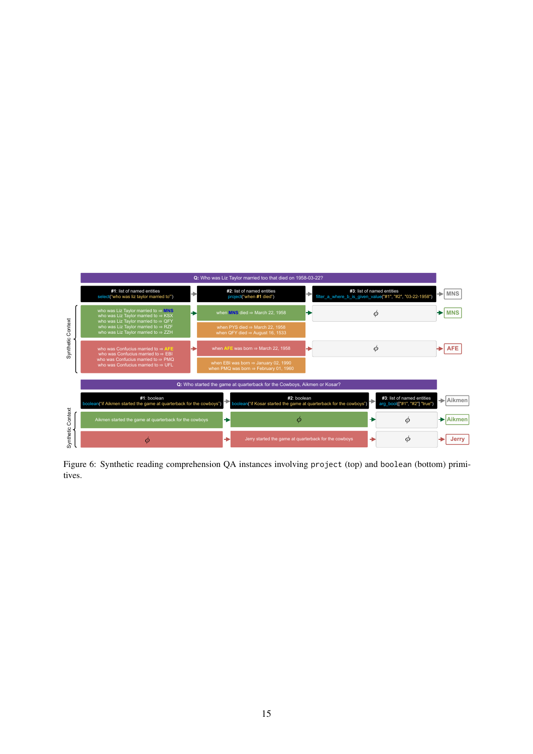<span id="page-14-0"></span>

Figure 6: Synthetic reading comprehension QA instances involving project (top) and boolean (bottom) primitives.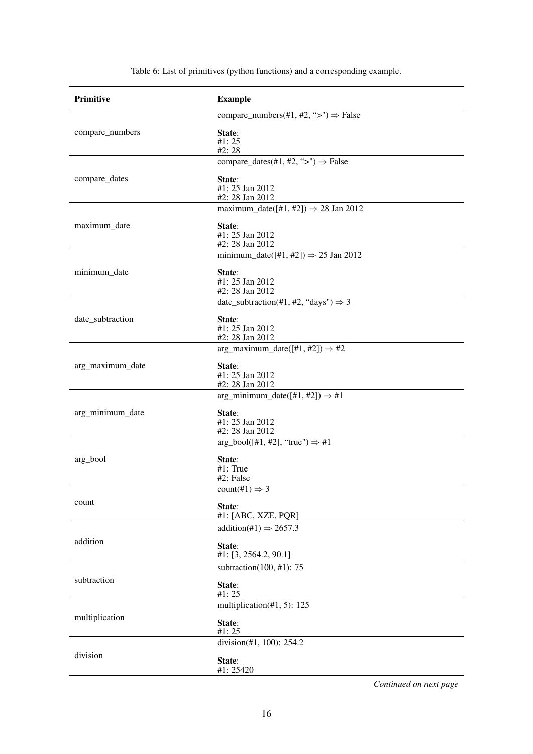<span id="page-15-0"></span>

| <b>Primitive</b> | <b>Example</b>                                   |
|------------------|--------------------------------------------------|
|                  | compare_numbers(#1, #2, ">") $\Rightarrow$ False |
| compare_numbers  | State:<br>#1: 25<br>#2: 28                       |
|                  | compare_dates(#1, #2, ">") $\Rightarrow$ False   |
| compare_dates    | State:<br>#1: 25 Jan 2012<br>#2: 28 Jan 2012     |
|                  | maximum_date([#1, #2]) $\Rightarrow$ 28 Jan 2012 |
| maximum_date     | State:<br>#1: 25 Jan 2012<br>#2: 28 Jan 2012     |
|                  | minimum_date([#1, #2]) $\Rightarrow$ 25 Jan 2012 |
| minimum_date     | State:<br>#1: 25 Jan 2012<br>#2: 28 Jan 2012     |
|                  | date_subtraction(#1, #2, "days") $\Rightarrow$ 3 |
| date_subtraction | State:<br>#1: 25 Jan 2012<br>#2: 28 Jan 2012     |
|                  | arg_maximum_date([#1, #2]) $\Rightarrow$ #2      |
| arg_maximum_date | State:<br>#1: 25 Jan 2012<br>#2: 28 Jan 2012     |
|                  | arg_minimum_date([#1, #2]) $\Rightarrow$ #1      |
| arg_minimum_date | State:<br>#1: 25 Jan 2012<br>#2: 28 Jan 2012     |
|                  | $arg_bool([#1, #2], "true") \Rightarrow #1$      |
| arg_bool         | State:<br>$#1$ : True<br>#2: False               |
|                  | $count(\#1) \Rightarrow 3$                       |
| count            | State:<br>#1: [ABC, XZE, PQR]                    |
|                  | addition(#1) $\Rightarrow$ 2657.3                |
| addition         | State:<br>#1: [3, 2564.2, 90.1]                  |
| subtraction      | subtraction(100, #1): $75$                       |
|                  | State:<br>#1: 25                                 |
|                  | multiplication $(\text{\#}1, 5)$ : 125           |
| multiplication   | State:<br>#1: 25                                 |
|                  | division(#1, 100): 254.2                         |
| division         | State:<br>#1: 25420                              |

Table 6: List of primitives (python functions) and a corresponding example.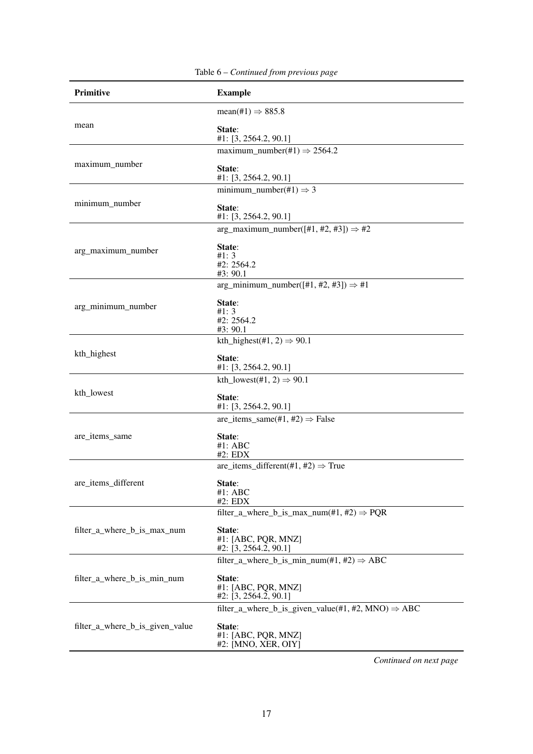| Primitive                       | <b>Example</b>                                                 |
|---------------------------------|----------------------------------------------------------------|
|                                 | $mean(\text{\#}1) \Rightarrow 885.8$                           |
| mean                            | State:<br>#1: [3, 2564.2, 90.1]                                |
|                                 | maximum_number(#1) $\Rightarrow$ 2564.2                        |
| maximum_number                  | State:<br>#1: $[3, 2564.2, 90.1]$                              |
|                                 | minimum_number(#1) $\Rightarrow$ 3                             |
| minimum_number                  | State:<br>#1: [3, 2564.2, 90.1]                                |
|                                 | arg_maximum_number( $[#1, #2, #3]$ ) $\Rightarrow #2$          |
| arg_maximum_number              | State:<br>#1: 3<br>#2: 2564.2<br>#3: 90.1                      |
|                                 | arg_minimum_number( $[#1, #2, #3]$ ) $\Rightarrow #1$          |
| arg_minimum_number              | State:<br>#1: 3<br>#2: 2564.2<br>#3: 90.1                      |
|                                 | kth_highest(#1, 2) $\Rightarrow$ 90.1                          |
| kth_highest                     | State:<br>#1: $[3, 2564.2, 90.1]$                              |
|                                 | kth_lowest(#1, 2) $\Rightarrow$ 90.1                           |
| kth_lowest                      | State:<br>#1: [3, 2564.2, 90.1]                                |
|                                 | are_items_same(#1, #2) $\Rightarrow$ False                     |
| are_items_same                  | State:<br>$#1$ : ABC<br>#2: EDX                                |
|                                 | are_items_different(#1, #2) $\Rightarrow$ True                 |
| are_items_different             | State:<br>#1: ABC<br>#2: EDX                                   |
|                                 | filter_a_where_b_is_max_num(#1, #2) $\Rightarrow$ PQR          |
| filter_a_where_b_is_max_num     | State:<br>#1: [ABC, PQR, MNZ]<br>$#2$ : [3, 2564.2, 90.1]      |
|                                 | filter_a_where_b_is_min_num(#1, #2) $\Rightarrow$ ABC          |
| filter_a_where_b_is_min_num     | State:<br>#1: [ABC, PQR, MNZ]<br>#2: [3, 2564.2, 90.1]         |
|                                 | filter_a_where_b_is_given_value(#1, #2, MNO) $\Rightarrow$ ABC |
| filter_a_where_b_is_given_value | State:<br>#1: [ABC, PQR, MNZ]<br>#2: [MNO, XER, OIY]           |

Table 6 – *Continued from previous page*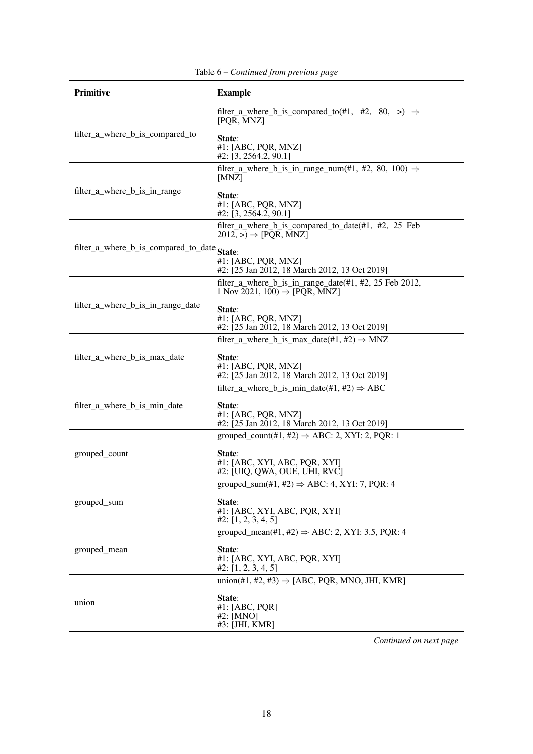| Primitive                                   | <b>Example</b>                                                                                      |
|---------------------------------------------|-----------------------------------------------------------------------------------------------------|
|                                             | filter_a_where_b_is_compared_to(#1, #2, 80, >) $\Rightarrow$<br>[PQR, MNZ]                          |
| filter_a_where_b_is_compared_to             | State:<br>#1: [ABC, PQR, MNZ]<br>$#2$ : [3, 2564.2, 90.1]                                           |
|                                             | filter_a_where_b_is_in_range_num(#1, #2, 80, 100) $\Rightarrow$<br>[MNZ]                            |
| filter_a_where_b_is_in_range                | State:<br>#1: [ABC, PQR, MNZ]<br>#2: $[3, 2564.2, 90.1]$                                            |
|                                             | filter_a_where_b_is_compared_to_date(#1, #2, 25 Feb<br>$2012, \geqslant$ $[PQR, MNZ]$               |
| filter_a_where_b_is_compared_to_date State: |                                                                                                     |
|                                             | #1: [ABC, PQR, MNZ]<br>#2: [25 Jan 2012, 18 March 2012, 13 Oct 2019]                                |
|                                             | filter_a_where_b_is_in_range_date(#1, #2, 25 Feb 2012,<br>1 Nov 2021, 100) $\Rightarrow$ [PQR, MNZ] |
| filter_a_where_b_is_in_range_date           | State:                                                                                              |
|                                             | #1: [ABC, PQR, MNZ]<br>#2: [25 Jan 2012, 18 March 2012, 13 Oct 2019]                                |
|                                             | filter_a_where_b_is_max_date(#1, #2) $\Rightarrow$ MNZ                                              |
| filter_a_where_b_is_max_date                | State:<br>#1: [ABC, PQR, MNZ]<br>#2: [25 Jan 2012, 18 March 2012, 13 Oct 2019]                      |
|                                             | filter_a_where_b_is_min_date(#1, #2) $\Rightarrow$ ABC                                              |
| filter_a_where_b_is_min_date                | State:<br>#1: [ABC, PQR, MNZ]<br>#2: [25 Jan 2012, 18 March 2012, 13 Oct 2019]                      |
|                                             | grouped_count(#1, #2) $\Rightarrow$ ABC: 2, XYI: 2, PQR: 1                                          |
| grouped_count                               | State:<br>#1: [ABC, XYI, ABC, PQR, XYI]<br>#2: [UIQ, QWA, OUE, UHI, RVC]                            |
|                                             | grouped_sum(#1, #2) $\Rightarrow$ ABC: 4, XYI: 7, PQR: 4                                            |
| grouped_sum                                 | State:<br>#1: [ABC, XYI, ABC, PQR, XYI]<br>#2: [1, 2, 3, 4, 5]                                      |
|                                             | grouped_mean(#1, #2) $\Rightarrow$ ABC: 2, XYI: 3.5, PQR: 4                                         |
| grouped_mean                                | State:<br>#1: [ABC, XYI, ABC, PQR, XYI]<br>#2: [1, 2, 3, 4, 5]                                      |
|                                             | union(#1, #2, #3) $\Rightarrow$ [ABC, PQR, MNO, JHI, KMR]                                           |
| union                                       | State:<br>#1: $[ABC, PQR]$<br>#2: [MNO]<br>#3: [JHI, KMR]                                           |

Table 6 – *Continued from previous page*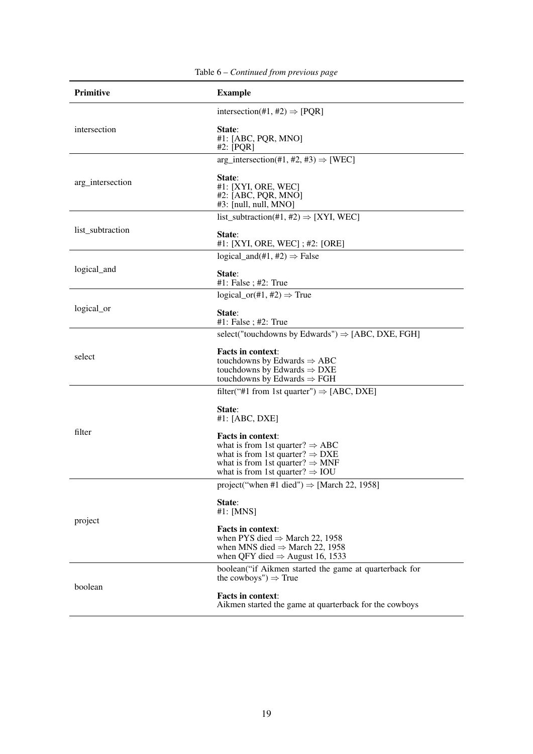| Primitive        | <b>Example</b>                                                                                                                                                                                                       |
|------------------|----------------------------------------------------------------------------------------------------------------------------------------------------------------------------------------------------------------------|
|                  | intersection(#1, #2) $\Rightarrow$ [PQR]                                                                                                                                                                             |
| intersection     | State:<br>#1: [ABC, PQR, MNO]<br>#2: $[PQR]$                                                                                                                                                                         |
|                  | arg_intersection(#1, #2, #3) $\Rightarrow$ [WEC]                                                                                                                                                                     |
| arg_intersection | State:<br>#1: [XYI, ORE, WEC]<br>#2: [ABC, PQR, MNO]<br>$#3:$ [null, null, MNO]                                                                                                                                      |
|                  | list_subtraction(#1, #2) $\Rightarrow$ [XYI, WEC]                                                                                                                                                                    |
| list_subtraction | State:<br>#1: [XYI, ORE, WEC]; #2: [ORE]                                                                                                                                                                             |
|                  | logical_and(#1, #2) $\Rightarrow$ False                                                                                                                                                                              |
| logical_and      | State:<br>$#1$ : False ; $#2$ : True                                                                                                                                                                                 |
|                  | logical_or(#1, #2) $\Rightarrow$ True                                                                                                                                                                                |
| logical_or       | State:<br>$#1$ : False ; $#2$ : True                                                                                                                                                                                 |
|                  | select("touchdowns by Edwards") $\Rightarrow$ [ABC, DXE, FGH]                                                                                                                                                        |
| select           | <b>Facts in context:</b><br>touchdowns by Edwards $\Rightarrow$ ABC<br>touchdowns by Edwards $\Rightarrow$ DXE<br>touchdowns by Edwards $\Rightarrow$ FGH                                                            |
|                  | filter("#1 from 1st quarter") $\Rightarrow$ [ABC, DXE]                                                                                                                                                               |
|                  | State:<br>$#1$ : [ABC, DXE]                                                                                                                                                                                          |
| filter           | <b>Facts in context:</b><br>what is from 1st quarter? $\Rightarrow$ ABC<br>what is from 1st quarter? $\Rightarrow$ DXE<br>what is from 1st quarter? $\Rightarrow$ MNF<br>what is from 1st quarter? $\Rightarrow$ IOU |
|                  | project("when #1 died") $\Rightarrow$ [March 22, 1958]                                                                                                                                                               |
| project          | State:<br>#1: [MNS]                                                                                                                                                                                                  |
|                  | Facts in context:<br>when PYS died $\Rightarrow$ March 22, 1958<br>when MNS died $\Rightarrow$ March 22, 1958<br>when QFY died $\Rightarrow$ August 16, 1533                                                         |
|                  | boolean("if Aikmen started the game at quarterback for<br>the cowboys") $\Rightarrow$ True                                                                                                                           |
| boolean          | <b>Facts in context:</b><br>Aikmen started the game at quarterback for the cowboys                                                                                                                                   |

Table 6 – *Continued from previous page*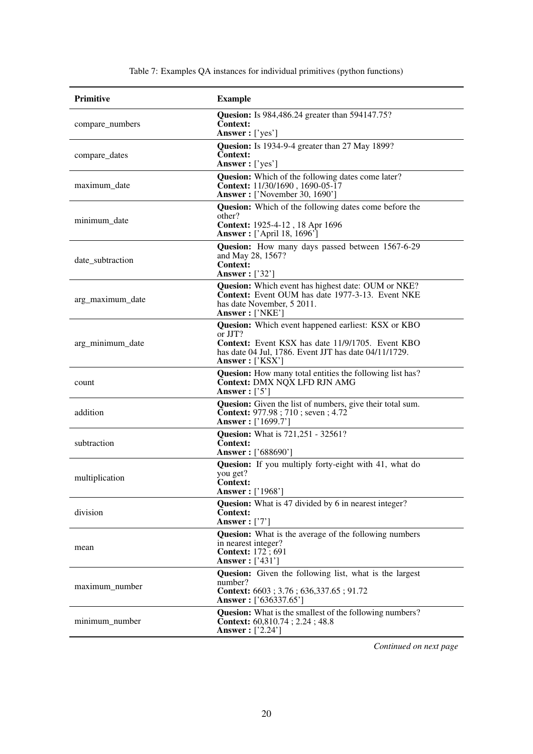<span id="page-19-0"></span>

| Primitive        | <b>Example</b>                                                                                                                                                                                       |
|------------------|------------------------------------------------------------------------------------------------------------------------------------------------------------------------------------------------------|
| compare_numbers  | <b>Quesion:</b> Is 984,486.24 greater than 594147.75?<br><b>Context:</b><br>Answer: ['yes']                                                                                                          |
| compare_dates    | Quesion: Is 1934-9-4 greater than 27 May 1899?<br><b>Context:</b><br><b>Answer</b> : ['yes']                                                                                                         |
| maximum date     | <b>Quesion:</b> Which of the following dates come later?<br>Context: 11/30/1690, 1690-05-17<br><b>Answer:</b> ['November 30, 1690']                                                                  |
| minimum_date     | Quesion: Which of the following dates come before the<br>other?<br>Context: 1925-4-12, 18 Apr 1696<br><b>Answer</b> : ['April 18, 1696']                                                             |
| date_subtraction | <b>Quesion:</b> How many days passed between 1567-6-29<br>and May 28, 1567?<br><b>Context:</b><br><b>Answer</b> : ['32']                                                                             |
| arg_maximum_date | Quesion: Which event has highest date: OUM or NKE?<br><b>Context:</b> Event OUM has date 1977-3-13. Event NKE<br>has date November, 5 2011.<br>Answer: ['NKE']                                       |
| arg_minimum_date | Quesion: Which event happened earliest: KSX or KBO<br>or JJT?<br><b>Context:</b> Event KSX has date 11/9/1705. Event KBO<br>has date 04 Jul, 1786. Event JJT has date 04/11/1729.<br>Answer: ['KSX'] |
| count            | <b>Quesion:</b> How many total entities the following list has?<br><b>Context: DMX NQX LFD RJN AMG</b><br>Answer: $[3]$                                                                              |
| addition         | <b>Quesion:</b> Given the list of numbers, give their total sum.<br><b>Context:</b> 977.98; 710; seven; 4.72<br><b>Answer:</b> ['1699.7']                                                            |
| subtraction      | <b>Quesion:</b> What is 721,251 - 32561?<br><b>Context:</b><br><b>Answer:</b> ['688690']                                                                                                             |
| multiplication   | Quesion: If you multiply forty-eight with 41, what do<br>you get?<br><b>Context:</b><br>Answer: ['1968']                                                                                             |
| division         | Quesion: What is 47 divided by 6 in nearest integer?<br><b>Context:</b><br>Answer: $[7]$                                                                                                             |
| mean             | <b>Quesion:</b> What is the average of the following numbers<br>in nearest integer?<br><b>Context:</b> 172;691<br><b>Answer</b> : ['431']                                                            |
| maximum_number   | <b>Quesion:</b> Given the following list, what is the largest<br>number?<br>Context: 6603 ; 3.76 ; 636,337.65 ; 91.72<br><b>Answer:</b> ['636337.65']                                                |
| minimum_number   | <b>Quesion:</b> What is the smallest of the following numbers?<br>Context: 60,810.74; 2.24; 48.8<br><b>Answer</b> : ['2.24']                                                                         |

Table 7: Examples QA instances for individual primitives (python functions)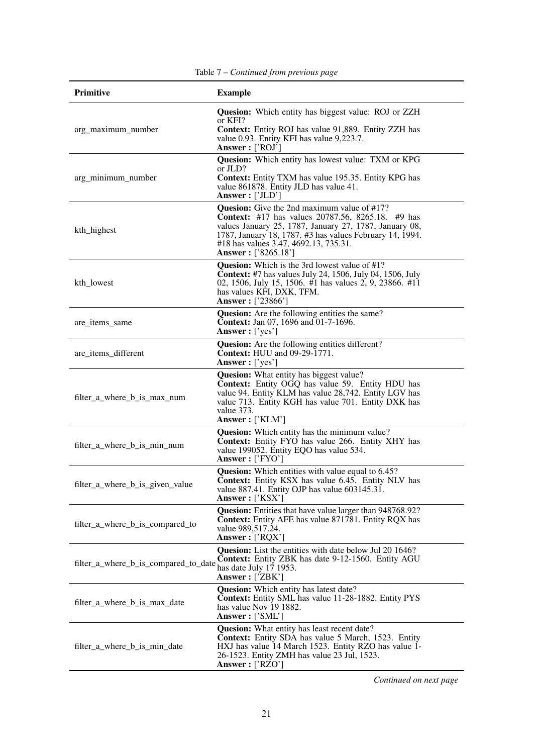| <b>Primitive</b>                     | <b>Example</b>                                                                                                                                                                                                                                                                                       |
|--------------------------------------|------------------------------------------------------------------------------------------------------------------------------------------------------------------------------------------------------------------------------------------------------------------------------------------------------|
| arg_maximum_number                   | <b>Quesion:</b> Which entity has biggest value: ROJ or ZZH<br>or KFI?<br><b>Context:</b> Entity ROJ has value 91,889. Entity ZZH has<br>value 0.93. Entity KFI has value 9,223.7.<br>Answer: ['ROJ']                                                                                                 |
| arg_minimum_number                   | <b>Quesion:</b> Which entity has lowest value: TXM or KPG<br>or JLD?<br><b>Context:</b> Entity TXM has value 195.35. Entity KPG has<br>value 861878. Entity JLD has value 41.<br>Answer: ['JLD']                                                                                                     |
| kth_highest                          | <b>Quesion:</b> Give the 2nd maximum value of #17?<br><b>Context:</b> #17 has values 20787.56, 8265.18. #9 has<br>values January 25, 1787, January 27, 1787, January 08,<br>1787, January 18, 1787. #3 has values February 14, 1994.<br>#18 has values 3.47, 4692.13, 735.31.<br>Answer: ['8265.18'] |
| kth_lowest                           | <b>Quesion:</b> Which is the 3rd lowest value of #1?<br><b>Context:</b> #7 has values July 24, 1506, July 04, 1506, July<br>02, 1506, July 15, 1506. #1 has values 2, 9, 23866. #11<br>has values KFI, DXK, TFM.<br><b>Answer:</b> ['23866']                                                         |
| are items same                       | <b>Quesion:</b> Are the following entities the same?<br><b>Context:</b> Jan 07, 1696 and 01-7-1696.<br>Answer: ['yes']                                                                                                                                                                               |
| are_items_different                  | <b>Quesion:</b> Are the following entities different?<br><b>Context:</b> HUU and 09-29-1771.<br>Answer: ['yes']                                                                                                                                                                                      |
| filter_a_where_b_is_max_num          | <b>Quesion:</b> What entity has biggest value?<br><b>Context:</b> Entity OGQ has value 59. Entity HDU has<br>value 94. Entity KLM has value 28,742. Entity LGV has<br>value 713. Entity KGH has value 701. Entity DXK has<br>value 373.<br>Answer: ['KLM']                                           |
| filter_a_where_b_is_min_num          | Quesion: Which entity has the minimum value?<br><b>Context:</b> Entity FYO has value 266. Entity XHY has<br>value 199052. Entity EQO has value 534.<br>Answer: ['FYO']                                                                                                                               |
| filter_a_where_b_is_given_value      | <b>Quesion:</b> Which entities with value equal to 6.45?<br>Context: Entity KSX has value 6.45. Entity NLV has<br>value 887.41. Entity OJP has value 603145.31.<br>Answer: ['KSX']                                                                                                                   |
| filter_a_where_b_is_compared_to      | Quesion: Entities that have value larger than 948768.92?<br><b>Context:</b> Entity AFE has value 871781. Entity RQX has<br>value 989,517.24.<br>Answer: ['RQX']                                                                                                                                      |
| filter_a_where_b_is_compared_to_date | Quesion: List the entities with date below Jul 20 1646?<br>Context: Entity ZBK has date 9-12-1560. Entity AGU<br>has date July 17 1953.<br>Answer: ['ZBK']                                                                                                                                           |
| filter_a_where_b_is_max_date         | <b>Quesion:</b> Which entity has latest date?<br>Context: Entity SML has value 11-28-1882. Entity PYS<br>has value Nov 19 1882.<br>Answer: ['SML']                                                                                                                                                   |
| filter_a_where_b_is_min_date         | <b>Quesion:</b> What entity has least recent date?<br><b>Context:</b> Entity SDA has value 5 March, 1523. Entity<br>HXJ has value 14 March 1523. Entity RZO has value 1-<br>26-1523. Entity ZMH has value 23 Jul, 1523.<br>Answer: $[$ 'RZO']                                                        |